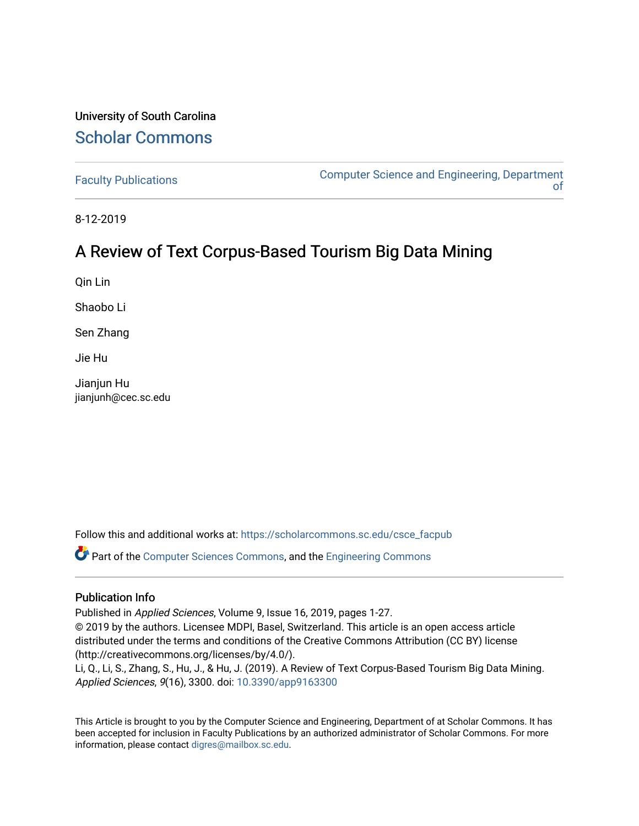# University of South Carolina [Scholar Commons](https://scholarcommons.sc.edu/)

[Faculty Publications](https://scholarcommons.sc.edu/csce_facpub) **Computer Science and Engineering, Department** [of](https://scholarcommons.sc.edu/csce) 

8-12-2019

# A Review of Text Corpus-Based Tourism Big Data Mining

Qin Lin

Shaobo Li

Sen Zhang

Jie Hu

Jianjun Hu jianjunh@cec.sc.edu

Follow this and additional works at: [https://scholarcommons.sc.edu/csce\\_facpub](https://scholarcommons.sc.edu/csce_facpub?utm_source=scholarcommons.sc.edu%2Fcsce_facpub%2F254&utm_medium=PDF&utm_campaign=PDFCoverPages)

Part of the [Computer Sciences Commons](http://network.bepress.com/hgg/discipline/142?utm_source=scholarcommons.sc.edu%2Fcsce_facpub%2F254&utm_medium=PDF&utm_campaign=PDFCoverPages), and the [Engineering Commons](http://network.bepress.com/hgg/discipline/217?utm_source=scholarcommons.sc.edu%2Fcsce_facpub%2F254&utm_medium=PDF&utm_campaign=PDFCoverPages)

# Publication Info

Published in Applied Sciences, Volume 9, Issue 16, 2019, pages 1-27.

© 2019 by the authors. Licensee MDPI, Basel, Switzerland. This article is an open access article distributed under the terms and conditions of the Creative Commons Attribution (CC BY) license (http://creativecommons.org/licenses/by/4.0/).

Li, Q., Li, S., Zhang, S., Hu, J., & Hu, J. (2019). A Review of Text Corpus-Based Tourism Big Data Mining. Applied Sciences, 9(16), 3300. doi: 10.3390/app9163300

This Article is brought to you by the Computer Science and Engineering, Department of at Scholar Commons. It has been accepted for inclusion in Faculty Publications by an authorized administrator of Scholar Commons. For more information, please contact [digres@mailbox.sc.edu.](mailto:digres@mailbox.sc.edu)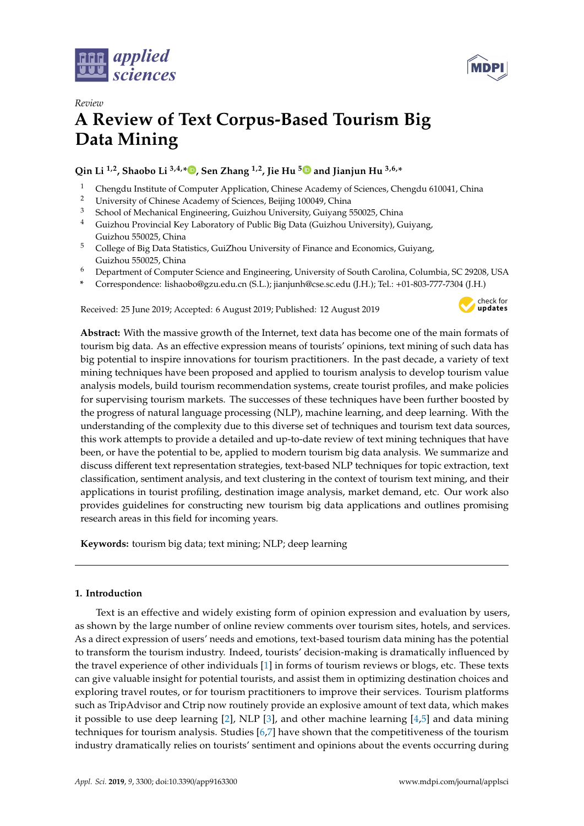



# *Review* **A Review of Text Corpus-Based Tourism Big Data Mining**

# **Qin Li 1,2, Shaobo Li 3,4,[\\*](https://orcid.org/0000-0003-4759-6000) , Sen Zhang 1,2, Jie Hu [5](https://orcid.org/0000-0002-3893-1594) and Jianjun Hu 3,6,\***

- <sup>1</sup> Chengdu Institute of Computer Application, Chinese Academy of Sciences, Chengdu 610041, China<br><sup>2</sup> Ilpiyanity of Chinese Academy of Sciences, Beijing 100040, China
- <sup>2</sup> University of Chinese Academy of Sciences, Beijing 100049, China
- <sup>3</sup> School of Mechanical Engineering, Guizhou University, Guiyang 550025, China
- <sup>4</sup> Guizhou Provincial Key Laboratory of Public Big Data (Guizhou University), Guiyang, Guizhou 550025, China
- <sup>5</sup> College of Big Data Statistics, GuiZhou University of Finance and Economics, Guiyang, Guizhou 550025, China
- <sup>6</sup> Department of Computer Science and Engineering, University of South Carolina, Columbia, SC 29208, USA
- **\*** Correspondence: lishaobo@gzu.edu.cn (S.L.); jianjunh@cse.sc.edu (J.H.); Tel.: +01-803-777-7304 (J.H.)

Received: 25 June 2019; Accepted: 6 August 2019; Published: 12 August 2019



**Abstract:** With the massive growth of the Internet, text data has become one of the main formats of tourism big data. As an effective expression means of tourists' opinions, text mining of such data has big potential to inspire innovations for tourism practitioners. In the past decade, a variety of text mining techniques have been proposed and applied to tourism analysis to develop tourism value analysis models, build tourism recommendation systems, create tourist profiles, and make policies for supervising tourism markets. The successes of these techniques have been further boosted by the progress of natural language processing (NLP), machine learning, and deep learning. With the understanding of the complexity due to this diverse set of techniques and tourism text data sources, this work attempts to provide a detailed and up-to-date review of text mining techniques that have been, or have the potential to be, applied to modern tourism big data analysis. We summarize and discuss different text representation strategies, text-based NLP techniques for topic extraction, text classification, sentiment analysis, and text clustering in the context of tourism text mining, and their applications in tourist profiling, destination image analysis, market demand, etc. Our work also provides guidelines for constructing new tourism big data applications and outlines promising research areas in this field for incoming years.

**Keywords:** tourism big data; text mining; NLP; deep learning

## **1. Introduction**

Text is an effective and widely existing form of opinion expression and evaluation by users, as shown by the large number of online review comments over tourism sites, hotels, and services. As a direct expression of users' needs and emotions, text-based tourism data mining has the potential to transform the tourism industry. Indeed, tourists' decision-making is dramatically influenced by the travel experience of other individuals [\[1\]](#page-20-0) in forms of tourism reviews or blogs, etc. These texts can give valuable insight for potential tourists, and assist them in optimizing destination choices and exploring travel routes, or for tourism practitioners to improve their services. Tourism platforms such as TripAdvisor and Ctrip now routinely provide an explosive amount of text data, which makes it possible to use deep learning [\[2\]](#page-20-1), NLP [\[3\]](#page-20-2), and other machine learning [\[4,](#page-20-3)[5\]](#page-20-4) and data mining techniques for tourism analysis. Studies [\[6,](#page-20-5)[7\]](#page-20-6) have shown that the competitiveness of the tourism industry dramatically relies on tourists' sentiment and opinions about the events occurring during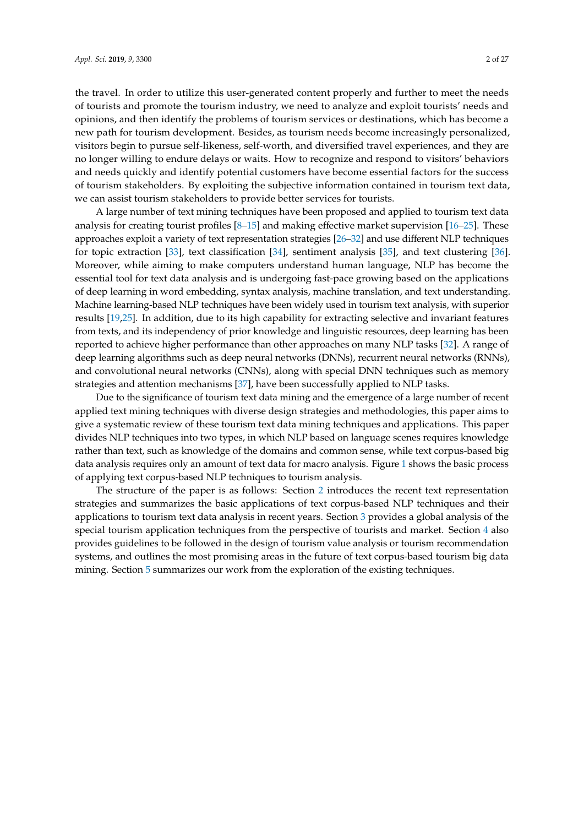the travel. In order to utilize this user-generated content properly and further to meet the needs of tourists and promote the tourism industry, we need to analyze and exploit tourists' needs and opinions, and then identify the problems of tourism services or destinations, which has become a new path for tourism development. Besides, as tourism needs become increasingly personalized, visitors begin to pursue self-likeness, self-worth, and diversified travel experiences, and they are no longer willing to endure delays or waits. How to recognize and respond to visitors' behaviors and needs quickly and identify potential customers have become essential factors for the success of tourism stakeholders. By exploiting the subjective information contained in tourism text data, we can assist tourism stakeholders to provide better services for tourists.

A large number of text mining techniques have been proposed and applied to tourism text data analysis for creating tourist profiles [\[8–](#page-20-7)[15\]](#page-21-0) and making effective market supervision [\[16–](#page-21-1)[25\]](#page-21-2). These approaches exploit a variety of text representation strategies [\[26](#page-21-3)[–32\]](#page-21-4) and use different NLP techniques for topic extraction [\[33\]](#page-21-5), text classification [\[34\]](#page-22-0), sentiment analysis [\[35\]](#page-22-1), and text clustering [\[36\]](#page-22-2). Moreover, while aiming to make computers understand human language, NLP has become the essential tool for text data analysis and is undergoing fast-pace growing based on the applications of deep learning in word embedding, syntax analysis, machine translation, and text understanding. Machine learning-based NLP techniques have been widely used in tourism text analysis, with superior results [\[19](#page-21-6)[,25\]](#page-21-2). In addition, due to its high capability for extracting selective and invariant features from texts, and its independency of prior knowledge and linguistic resources, deep learning has been reported to achieve higher performance than other approaches on many NLP tasks [\[32\]](#page-21-4). A range of deep learning algorithms such as deep neural networks (DNNs), recurrent neural networks (RNNs), and convolutional neural networks (CNNs), along with special DNN techniques such as memory strategies and attention mechanisms [\[37\]](#page-22-3), have been successfully applied to NLP tasks.

Due to the significance of tourism text data mining and the emergence of a large number of recent applied text mining techniques with diverse design strategies and methodologies, this paper aims to give a systematic review of these tourism text data mining techniques and applications. This paper divides NLP techniques into two types, in which NLP based on language scenes requires knowledge rather than text, such as knowledge of the domains and common sense, while text corpus-based big data analysis requires only an amount of text data for macro analysis. Figure [1](#page-3-0) shows the basic process of applying text corpus-based NLP techniques to tourism analysis.

The structure of the paper is as follows: Section [2](#page-3-1) introduces the recent text representation strategies and summarizes the basic applications of text corpus-based NLP techniques and their applications to tourism text data analysis in recent years. Section [3](#page-4-0) provides a global analysis of the special tourism application techniques from the perspective of tourists and market. Section [4](#page-12-0) also provides guidelines to be followed in the design of tourism value analysis or tourism recommendation systems, and outlines the most promising areas in the future of text corpus-based tourism big data mining. Section [5](#page-17-0) summarizes our work from the exploration of the existing techniques.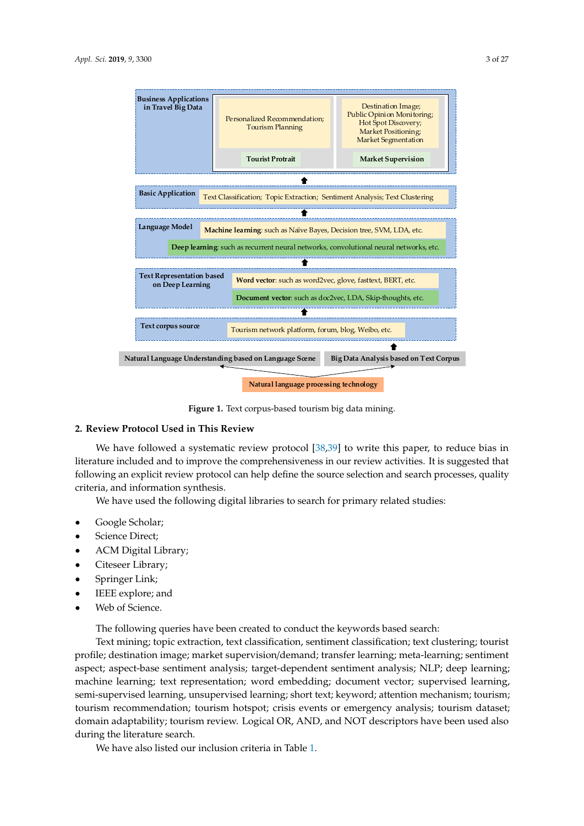<span id="page-3-0"></span>

**Figure 1.** Text corpus-based tourism big data mining. **Figure 1.** Text corpus-based tourism big data mining.

# <span id="page-3-1"></span>**2. Review Protocol Used in This Review 2. Review Protocol Used in This Review**

We have followed a systematic review protocol [38,39] to write this paper, to reduce bias in We have followed a systematic review protocol [\[38,](#page-22-4)[39\]](#page-22-5) to write this paper, to reduce bias in literature included and to improve the comprehensiveness in our review activities. It is suggested literature included and to improve the comprehensiveness in our review activities. It is suggested that following an explicit review protocol can help define the source selection and search processes, quality the source selection and search processes, quality quality criteria, and information synthesis. criteria, and information synthesis.

We have used the following digital libraries to search for primary related studies: We have used the following digital libraries to search for primary related studies:

- Google Scholar; Google Scholar;
- Science Direct;
- ACM Digital Library;
- Citeseer Library;
- Springer Link;
- Springer Link;<br>• IEEE explore; and
- IEEE explore; and **•** Web of Science.  $\overline{\phantom{a}}$  web of Science.

The following queries have been created to conduct the keywords based search:

The following queries have been created to conduct the keywords based search: Text mining; topic extraction, text classification, sentiment classification; text clustering; tourist Text mining; topic extraction, text classification, sentiment classification; text clustering ; tourist profile; destination image; market supervision/demand; transfer learning; meta-learning; sentiment profile; destination image; market supervision/demand; transfer learning; meta-learning; sentiment aspect; aspect-base sentiment analysis; target-dependent sentiment analysis; NLP; deep learning; aspect; dependent analysis; target-dependent sentiment analysis; NLP; deep rearring; machine learning; text representation; word embedding; document vector; supervised learning, machine learning; text representation; word embedding; document vector; supervised learning, semi-supervised learning, unsupervised learning; short text; keyword; attention mechanism; tourism; semi-supervised learning, unsupervised learning; short text; keyword; attention mechanism; tourism recommendation; tourism hotspot; crisis events or emergency analysis; tourism dataset; tourism recommendation; tourism recogno, crisis events or emergency analysis; tourism analysis; tourism analysis domain adaptability; tourism review. Logical OR, AND, and NOT descriptors have been used also<br>domain adaptability; tourism review. Logical OR, AND, and NOT descriptors have been used also during the literature search.

using the incriting search. We have also listed our inclusion criteria in Table 1. We have also listed our inclusion criteria in Table [1.](#page-4-1)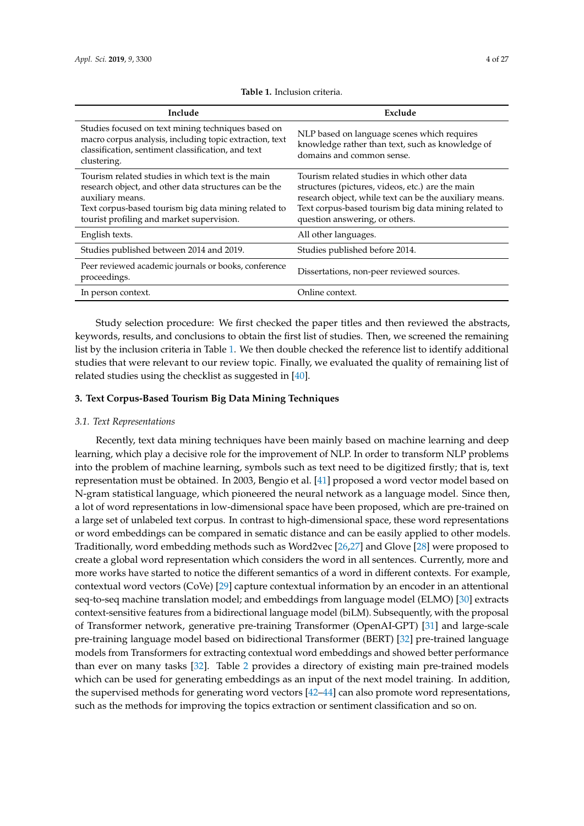<span id="page-4-1"></span>

| Include                                                                                                                                                                                                                             | Exclude                                                                                                                                                                                                                                              |
|-------------------------------------------------------------------------------------------------------------------------------------------------------------------------------------------------------------------------------------|------------------------------------------------------------------------------------------------------------------------------------------------------------------------------------------------------------------------------------------------------|
| Studies focused on text mining techniques based on<br>macro corpus analysis, including topic extraction, text<br>classification, sentiment classification, and text<br>clustering.                                                  | NLP based on language scenes which requires<br>knowledge rather than text, such as knowledge of<br>domains and common sense.                                                                                                                         |
| Tourism related studies in which text is the main<br>research object, and other data structures can be the<br>auxiliary means.<br>Text corpus-based tourism big data mining related to<br>tourist profiling and market supervision. | Tourism related studies in which other data<br>structures (pictures, videos, etc.) are the main<br>research object, while text can be the auxiliary means.<br>Text corpus-based tourism big data mining related to<br>question answering, or others. |
| English texts.                                                                                                                                                                                                                      | All other languages.                                                                                                                                                                                                                                 |
| Studies published between 2014 and 2019.                                                                                                                                                                                            | Studies published before 2014.                                                                                                                                                                                                                       |
| Peer reviewed academic journals or books, conference<br>proceedings.                                                                                                                                                                | Dissertations, non-peer reviewed sources.                                                                                                                                                                                                            |
| In person context.                                                                                                                                                                                                                  | Online context.                                                                                                                                                                                                                                      |

**Table 1.** Inclusion criteria.

Study selection procedure: We first checked the paper titles and then reviewed the abstracts, keywords, results, and conclusions to obtain the first list of studies. Then, we screened the remaining list by the inclusion criteria in Table [1.](#page-4-1) We then double checked the reference list to identify additional studies that were relevant to our review topic. Finally, we evaluated the quality of remaining list of related studies using the checklist as suggested in [\[40\]](#page-22-6).

#### <span id="page-4-0"></span>**3. Text Corpus-Based Tourism Big Data Mining Techniques**

#### *3.1. Text Representations*

Recently, text data mining techniques have been mainly based on machine learning and deep learning, which play a decisive role for the improvement of NLP. In order to transform NLP problems into the problem of machine learning, symbols such as text need to be digitized firstly; that is, text representation must be obtained. In 2003, Bengio et al. [\[41\]](#page-22-7) proposed a word vector model based on N-gram statistical language, which pioneered the neural network as a language model. Since then, a lot of word representations in low-dimensional space have been proposed, which are pre-trained on a large set of unlabeled text corpus. In contrast to high-dimensional space, these word representations or word embeddings can be compared in sematic distance and can be easily applied to other models. Traditionally, word embedding methods such as Word2vec [\[26,](#page-21-3)[27\]](#page-21-7) and Glove [\[28\]](#page-21-8) were proposed to create a global word representation which considers the word in all sentences. Currently, more and more works have started to notice the different semantics of a word in different contexts. For example, contextual word vectors (CoVe) [\[29\]](#page-21-9) capture contextual information by an encoder in an attentional seq-to-seq machine translation model; and embeddings from language model (ELMO) [\[30\]](#page-21-10) extracts context-sensitive features from a bidirectional language model (biLM). Subsequently, with the proposal of Transformer network, generative pre-training Transformer (OpenAI-GPT) [\[31\]](#page-21-11) and large-scale pre-training language model based on bidirectional Transformer (BERT) [\[32\]](#page-21-4) pre-trained language models from Transformers for extracting contextual word embeddings and showed better performance than ever on many tasks [\[32\]](#page-21-4). Table [2](#page-5-0) provides a directory of existing main pre-trained models which can be used for generating embeddings as an input of the next model training. In addition, the supervised methods for generating word vectors [\[42](#page-22-8)[–44\]](#page-22-9) can also promote word representations, such as the methods for improving the topics extraction or sentiment classification and so on.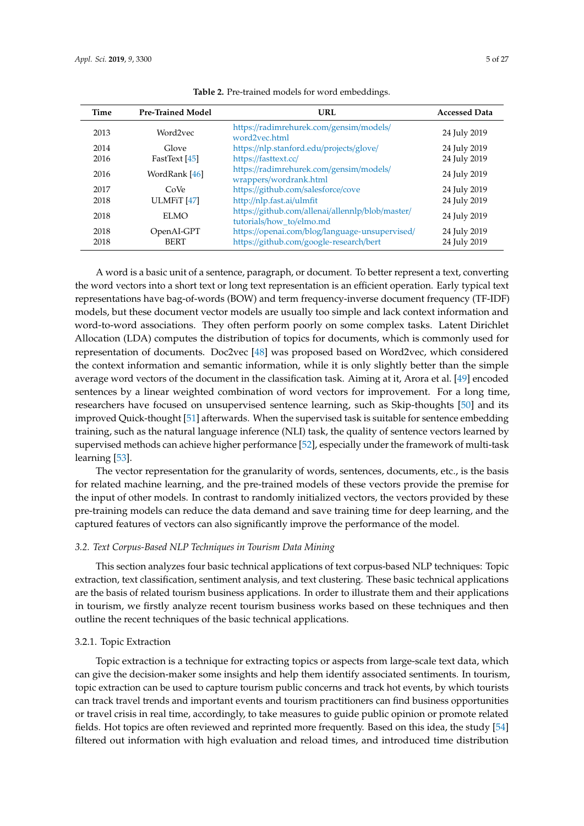<span id="page-5-0"></span>

| <b>Time</b> | <b>Pre-Trained Model</b> | <b>URL</b>                                                                   | <b>Accessed Data</b> |
|-------------|--------------------------|------------------------------------------------------------------------------|----------------------|
| 2013        | Word2vec                 | https://radimrehurek.com/gensim/models/<br>word2yec.html                     | 24 July 2019         |
| 2014        | Glove                    | https://nlp.stanford.edu/projects/glove/                                     | 24 July 2019         |
| 2016        | FastText [45]            | https://fasttext.cc/                                                         | 24 July 2019         |
| 2016        | WordRank [46]            | https://radimrehurek.com/gensim/models/<br>wrappers/wordrank.html            | 24 July 2019         |
| 2017        | CoVe                     | https://github.com/salesforce/cove                                           | 24 July 2019         |
| 2018        | ULMFiT [47]              | http://nlp.fast.ai/ulmfit                                                    | 24 July 2019         |
| 2018        | ELMO                     | https://github.com/allenai/allennlp/blob/master/<br>tutorials/how_to/elmo.md | 24 July 2019         |
| 2018        | OpenAI-GPT               | https://openai.com/blog/language-unsupervised/                               | 24 July 2019         |
| 2018        | <b>BERT</b>              | https://github.com/google-research/bert                                      | 24 July 2019         |

| <b>Table 2.</b> Pre-trained models for word embeddings. |  |
|---------------------------------------------------------|--|
|---------------------------------------------------------|--|

A word is a basic unit of a sentence, paragraph, or document. To better represent a text, converting the word vectors into a short text or long text representation is an efficient operation. Early typical text representations have bag-of-words (BOW) and term frequency-inverse document frequency (TF-IDF) models, but these document vector models are usually too simple and lack context information and word-to-word associations. They often perform poorly on some complex tasks. Latent Dirichlet Allocation (LDA) computes the distribution of topics for documents, which is commonly used for representation of documents. Doc2vec [\[48\]](#page-22-13) was proposed based on Word2vec, which considered the context information and semantic information, while it is only slightly better than the simple average word vectors of the document in the classification task. Aiming at it, Arora et al. [\[49\]](#page-22-14) encoded sentences by a linear weighted combination of word vectors for improvement. For a long time, researchers have focused on unsupervised sentence learning, such as Skip-thoughts [\[50\]](#page-22-15) and its improved Quick-thought [\[51\]](#page-22-16) afterwards. When the supervised task is suitable for sentence embedding training, such as the natural language inference (NLI) task, the quality of sentence vectors learned by supervised methods can achieve higher performance [\[52\]](#page-22-17), especially under the framework of multi-task learning [\[53\]](#page-22-18).

The vector representation for the granularity of words, sentences, documents, etc., is the basis for related machine learning, and the pre-trained models of these vectors provide the premise for the input of other models. In contrast to randomly initialized vectors, the vectors provided by these pre-training models can reduce the data demand and save training time for deep learning, and the captured features of vectors can also significantly improve the performance of the model.

#### *3.2. Text Corpus-Based NLP Techniques in Tourism Data Mining*

This section analyzes four basic technical applications of text corpus-based NLP techniques: Topic extraction, text classification, sentiment analysis, and text clustering. These basic technical applications are the basis of related tourism business applications. In order to illustrate them and their applications in tourism, we firstly analyze recent tourism business works based on these techniques and then outline the recent techniques of the basic technical applications.

## 3.2.1. Topic Extraction

Topic extraction is a technique for extracting topics or aspects from large-scale text data, which can give the decision-maker some insights and help them identify associated sentiments. In tourism, topic extraction can be used to capture tourism public concerns and track hot events, by which tourists can track travel trends and important events and tourism practitioners can find business opportunities or travel crisis in real time, accordingly, to take measures to guide public opinion or promote related fields. Hot topics are often reviewed and reprinted more frequently. Based on this idea, the study [\[54\]](#page-22-19) filtered out information with high evaluation and reload times, and introduced time distribution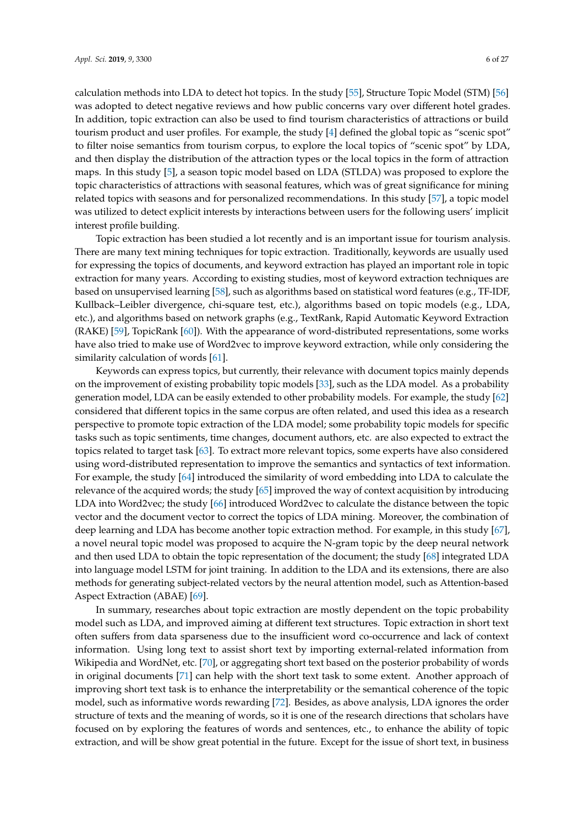calculation methods into LDA to detect hot topics. In the study [\[55\]](#page-22-20), Structure Topic Model (STM) [\[56\]](#page-23-0) was adopted to detect negative reviews and how public concerns vary over different hotel grades. In addition, topic extraction can also be used to find tourism characteristics of attractions or build tourism product and user profiles. For example, the study [\[4\]](#page-20-3) defined the global topic as "scenic spot" to filter noise semantics from tourism corpus, to explore the local topics of "scenic spot" by LDA, and then display the distribution of the attraction types or the local topics in the form of attraction maps. In this study [\[5\]](#page-20-4), a season topic model based on LDA (STLDA) was proposed to explore the topic characteristics of attractions with seasonal features, which was of great significance for mining related topics with seasons and for personalized recommendations. In this study [\[57\]](#page-23-1), a topic model was utilized to detect explicit interests by interactions between users for the following users' implicit interest profile building.

Topic extraction has been studied a lot recently and is an important issue for tourism analysis. There are many text mining techniques for topic extraction. Traditionally, keywords are usually used for expressing the topics of documents, and keyword extraction has played an important role in topic extraction for many years. According to existing studies, most of keyword extraction techniques are based on unsupervised learning [\[58\]](#page-23-2), such as algorithms based on statistical word features (e.g., TF-IDF, Kullback–Leibler divergence, chi-square test, etc.), algorithms based on topic models (e.g., LDA, etc.), and algorithms based on network graphs (e.g., TextRank, Rapid Automatic Keyword Extraction (RAKE) [\[59\]](#page-23-3), TopicRank [\[60\]](#page-23-4)). With the appearance of word-distributed representations, some works have also tried to make use of Word2vec to improve keyword extraction, while only considering the similarity calculation of words [\[61\]](#page-23-5).

Keywords can express topics, but currently, their relevance with document topics mainly depends on the improvement of existing probability topic models [\[33\]](#page-21-5), such as the LDA model. As a probability generation model, LDA can be easily extended to other probability models. For example, the study [\[62\]](#page-23-6) considered that different topics in the same corpus are often related, and used this idea as a research perspective to promote topic extraction of the LDA model; some probability topic models for specific tasks such as topic sentiments, time changes, document authors, etc. are also expected to extract the topics related to target task [\[63\]](#page-23-7). To extract more relevant topics, some experts have also considered using word-distributed representation to improve the semantics and syntactics of text information. For example, the study [\[64\]](#page-23-8) introduced the similarity of word embedding into LDA to calculate the relevance of the acquired words; the study [\[65\]](#page-23-9) improved the way of context acquisition by introducing LDA into Word2vec; the study [\[66\]](#page-23-10) introduced Word2vec to calculate the distance between the topic vector and the document vector to correct the topics of LDA mining. Moreover, the combination of deep learning and LDA has become another topic extraction method. For example, in this study [\[67\]](#page-23-11), a novel neural topic model was proposed to acquire the N-gram topic by the deep neural network and then used LDA to obtain the topic representation of the document; the study [\[68\]](#page-23-12) integrated LDA into language model LSTM for joint training. In addition to the LDA and its extensions, there are also methods for generating subject-related vectors by the neural attention model, such as Attention-based Aspect Extraction (ABAE) [\[69\]](#page-23-13).

In summary, researches about topic extraction are mostly dependent on the topic probability model such as LDA, and improved aiming at different text structures. Topic extraction in short text often suffers from data sparseness due to the insufficient word co-occurrence and lack of context information. Using long text to assist short text by importing external-related information from Wikipedia and WordNet, etc. [\[70\]](#page-23-14), or aggregating short text based on the posterior probability of words in original documents [\[71\]](#page-23-15) can help with the short text task to some extent. Another approach of improving short text task is to enhance the interpretability or the semantical coherence of the topic model, such as informative words rewarding [\[72\]](#page-23-16). Besides, as above analysis, LDA ignores the order structure of texts and the meaning of words, so it is one of the research directions that scholars have focused on by exploring the features of words and sentences, etc., to enhance the ability of topic extraction, and will be show great potential in the future. Except for the issue of short text, in business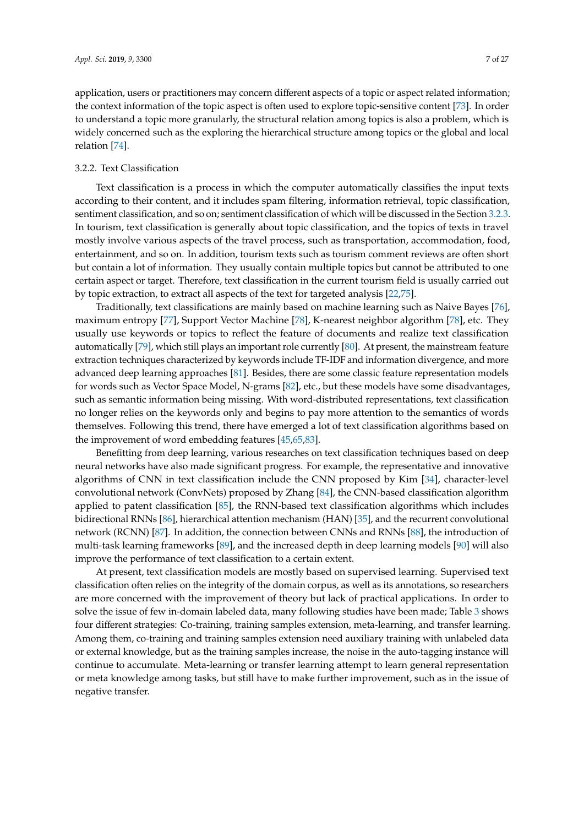application, users or practitioners may concern different aspects of a topic or aspect related information; the context information of the topic aspect is often used to explore topic-sensitive content [\[73\]](#page-23-17). In order to understand a topic more granularly, the structural relation among topics is also a problem, which is widely concerned such as the exploring the hierarchical structure among topics or the global and local relation [\[74\]](#page-23-18).

## 3.2.2. Text Classification

Text classification is a process in which the computer automatically classifies the input texts according to their content, and it includes spam filtering, information retrieval, topic classification, sentiment classification, and so on; sentiment classification of which will be discussed in the Section [3.2.3.](#page-8-0) In tourism, text classification is generally about topic classification, and the topics of texts in travel mostly involve various aspects of the travel process, such as transportation, accommodation, food, entertainment, and so on. In addition, tourism texts such as tourism comment reviews are often short but contain a lot of information. They usually contain multiple topics but cannot be attributed to one certain aspect or target. Therefore, text classification in the current tourism field is usually carried out by topic extraction, to extract all aspects of the text for targeted analysis [\[22](#page-21-12)[,75\]](#page-23-19).

Traditionally, text classifications are mainly based on machine learning such as Naive Bayes [\[76\]](#page-23-20), maximum entropy [\[77\]](#page-23-21), Support Vector Machine [\[78\]](#page-23-22), K-nearest neighbor algorithm [\[78\]](#page-23-22), etc. They usually use keywords or topics to reflect the feature of documents and realize text classification automatically [\[79\]](#page-23-23), which still plays an important role currently [\[80\]](#page-24-0). At present, the mainstream feature extraction techniques characterized by keywords include TF-IDF and information divergence, and more advanced deep learning approaches [\[81\]](#page-24-1). Besides, there are some classic feature representation models for words such as Vector Space Model, N-grams [\[82\]](#page-24-2), etc., but these models have some disadvantages, such as semantic information being missing. With word-distributed representations, text classification no longer relies on the keywords only and begins to pay more attention to the semantics of words themselves. Following this trend, there have emerged a lot of text classification algorithms based on the improvement of word embedding features [\[45,](#page-22-10)[65,](#page-23-9)[83\]](#page-24-3).

Benefitting from deep learning, various researches on text classification techniques based on deep neural networks have also made significant progress. For example, the representative and innovative algorithms of CNN in text classification include the CNN proposed by Kim [\[34\]](#page-22-0), character-level convolutional network (ConvNets) proposed by Zhang [\[84\]](#page-24-4), the CNN-based classification algorithm applied to patent classification [\[85\]](#page-24-5), the RNN-based text classification algorithms which includes bidirectional RNNs [\[86\]](#page-24-6), hierarchical attention mechanism (HAN) [\[35\]](#page-22-1), and the recurrent convolutional network (RCNN) [\[87\]](#page-24-7). In addition, the connection between CNNs and RNNs [\[88\]](#page-24-8), the introduction of multi-task learning frameworks [\[89\]](#page-24-9), and the increased depth in deep learning models [\[90\]](#page-24-10) will also improve the performance of text classification to a certain extent.

At present, text classification models are mostly based on supervised learning. Supervised text classification often relies on the integrity of the domain corpus, as well as its annotations, so researchers are more concerned with the improvement of theory but lack of practical applications. In order to solve the issue of few in-domain labeled data, many following studies have been made; Table [3](#page-8-1) shows four different strategies: Co-training, training samples extension, meta-learning, and transfer learning. Among them, co-training and training samples extension need auxiliary training with unlabeled data or external knowledge, but as the training samples increase, the noise in the auto-tagging instance will continue to accumulate. Meta-learning or transfer learning attempt to learn general representation or meta knowledge among tasks, but still have to make further improvement, such as in the issue of negative transfer.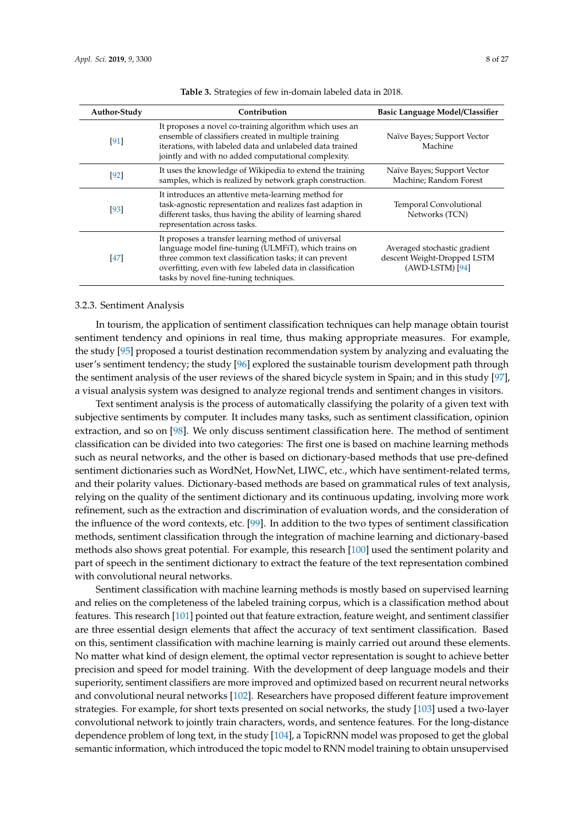<span id="page-8-1"></span>

| Author-Study | Contribution                                                                                                                                                                                                                                                                 | <b>Basic Language Model/Classifier</b>                                           |
|--------------|------------------------------------------------------------------------------------------------------------------------------------------------------------------------------------------------------------------------------------------------------------------------------|----------------------------------------------------------------------------------|
| [91]         | It proposes a novel co-training algorithm which uses an<br>ensemble of classifiers created in multiple training<br>iterations, with labeled data and unlabeled data trained<br>jointly and with no added computational complexity.                                           | Naïve Bayes; Support Vector<br>Machine                                           |
| [92]         | It uses the knowledge of Wikipedia to extend the training<br>samples, which is realized by network graph construction.                                                                                                                                                       | Naïve Bayes; Support Vector<br>Machine; Random Forest                            |
| [93]         | It introduces an attentive meta-learning method for<br>task-agnostic representation and realizes fast adaption in<br>different tasks, thus having the ability of learning shared<br>representation across tasks.                                                             | <b>Temporal Convolutional</b><br>Networks (TCN)                                  |
| [47]         | It proposes a transfer learning method of universal<br>language model fine-tuning (ULMFiT), which trains on<br>three common text classification tasks; it can prevent<br>overfitting, even with few labeled data in classification<br>tasks by novel fine-tuning techniques. | Averaged stochastic gradient<br>descent Weight-Dropped LSTM<br>$(AWD-LSTM)$ [94] |

**Table 3.** Strategies of few in-domain labeled data in 2018.

#### <span id="page-8-0"></span>3.2.3. Sentiment Analysis

In tourism, the application of sentiment classification techniques can help manage obtain tourist sentiment tendency and opinions in real time, thus making appropriate measures. For example, the study [\[95\]](#page-24-15) proposed a tourist destination recommendation system by analyzing and evaluating the user's sentiment tendency; the study [\[96\]](#page-24-16) explored the sustainable tourism development path through the sentiment analysis of the user reviews of the shared bicycle system in Spain; and in this study [\[97\]](#page-24-17), a visual analysis system was designed to analyze regional trends and sentiment changes in visitors.

Text sentiment analysis is the process of automatically classifying the polarity of a given text with subjective sentiments by computer. It includes many tasks, such as sentiment classification, opinion extraction, and so on [\[98\]](#page-24-18). We only discuss sentiment classification here. The method of sentiment classification can be divided into two categories: The first one is based on machine learning methods such as neural networks, and the other is based on dictionary-based methods that use pre-defined sentiment dictionaries such as WordNet, HowNet, LIWC, etc., which have sentiment-related terms, and their polarity values. Dictionary-based methods are based on grammatical rules of text analysis, relying on the quality of the sentiment dictionary and its continuous updating, involving more work refinement, such as the extraction and discrimination of evaluation words, and the consideration of the influence of the word contexts, etc. [\[99\]](#page-24-19). In addition to the two types of sentiment classification methods, sentiment classification through the integration of machine learning and dictionary-based methods also shows great potential. For example, this research [\[100\]](#page-24-20) used the sentiment polarity and part of speech in the sentiment dictionary to extract the feature of the text representation combined with convolutional neural networks.

Sentiment classification with machine learning methods is mostly based on supervised learning and relies on the completeness of the labeled training corpus, which is a classification method about features. This research [\[101\]](#page-24-21) pointed out that feature extraction, feature weight, and sentiment classifier are three essential design elements that affect the accuracy of text sentiment classification. Based on this, sentiment classification with machine learning is mainly carried out around these elements. No matter what kind of design element, the optimal vector representation is sought to achieve better precision and speed for model training. With the development of deep language models and their superiority, sentiment classifiers are more improved and optimized based on recurrent neural networks and convolutional neural networks [\[102\]](#page-24-22). Researchers have proposed different feature improvement strategies. For example, for short texts presented on social networks, the study [\[103\]](#page-24-23) used a two-layer convolutional network to jointly train characters, words, and sentence features. For the long-distance dependence problem of long text, in the study [\[104\]](#page-24-24), a TopicRNN model was proposed to get the global semantic information, which introduced the topic model to RNN model training to obtain unsupervised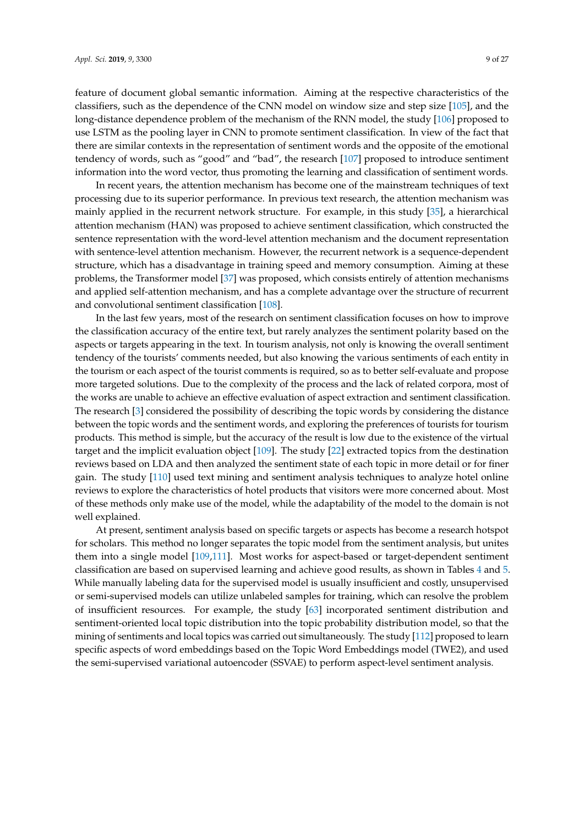feature of document global semantic information. Aiming at the respective characteristics of the classifiers, such as the dependence of the CNN model on window size and step size [\[105\]](#page-25-0), and the long-distance dependence problem of the mechanism of the RNN model, the study [\[106\]](#page-25-1) proposed to use LSTM as the pooling layer in CNN to promote sentiment classification. In view of the fact that there are similar contexts in the representation of sentiment words and the opposite of the emotional tendency of words, such as "good" and "bad", the research [\[107\]](#page-25-2) proposed to introduce sentiment information into the word vector, thus promoting the learning and classification of sentiment words.

In recent years, the attention mechanism has become one of the mainstream techniques of text processing due to its superior performance. In previous text research, the attention mechanism was mainly applied in the recurrent network structure. For example, in this study [\[35\]](#page-22-1), a hierarchical attention mechanism (HAN) was proposed to achieve sentiment classification, which constructed the sentence representation with the word-level attention mechanism and the document representation with sentence-level attention mechanism. However, the recurrent network is a sequence-dependent structure, which has a disadvantage in training speed and memory consumption. Aiming at these problems, the Transformer model [\[37\]](#page-22-3) was proposed, which consists entirely of attention mechanisms and applied self-attention mechanism, and has a complete advantage over the structure of recurrent and convolutional sentiment classification [\[108\]](#page-25-3).

In the last few years, most of the research on sentiment classification focuses on how to improve the classification accuracy of the entire text, but rarely analyzes the sentiment polarity based on the aspects or targets appearing in the text. In tourism analysis, not only is knowing the overall sentiment tendency of the tourists' comments needed, but also knowing the various sentiments of each entity in the tourism or each aspect of the tourist comments is required, so as to better self-evaluate and propose more targeted solutions. Due to the complexity of the process and the lack of related corpora, most of the works are unable to achieve an effective evaluation of aspect extraction and sentiment classification. The research [\[3\]](#page-20-2) considered the possibility of describing the topic words by considering the distance between the topic words and the sentiment words, and exploring the preferences of tourists for tourism products. This method is simple, but the accuracy of the result is low due to the existence of the virtual target and the implicit evaluation object [\[109\]](#page-25-4). The study [\[22\]](#page-21-12) extracted topics from the destination reviews based on LDA and then analyzed the sentiment state of each topic in more detail or for finer gain. The study [\[110\]](#page-25-5) used text mining and sentiment analysis techniques to analyze hotel online reviews to explore the characteristics of hotel products that visitors were more concerned about. Most of these methods only make use of the model, while the adaptability of the model to the domain is not well explained.

At present, sentiment analysis based on specific targets or aspects has become a research hotspot for scholars. This method no longer separates the topic model from the sentiment analysis, but unites them into a single model [\[109](#page-25-4)[,111\]](#page-25-6). Most works for aspect-based or target-dependent sentiment classification are based on supervised learning and achieve good results, as shown in Tables [4](#page-10-0) and [5.](#page-11-0) While manually labeling data for the supervised model is usually insufficient and costly, unsupervised or semi-supervised models can utilize unlabeled samples for training, which can resolve the problem of insufficient resources. For example, the study [\[63\]](#page-23-7) incorporated sentiment distribution and sentiment-oriented local topic distribution into the topic probability distribution model, so that the mining of sentiments and local topics was carried out simultaneously. The study [\[112\]](#page-25-7) proposed to learn specific aspects of word embeddings based on the Topic Word Embeddings model (TWE2), and used the semi-supervised variational autoencoder (SSVAE) to perform aspect-level sentiment analysis.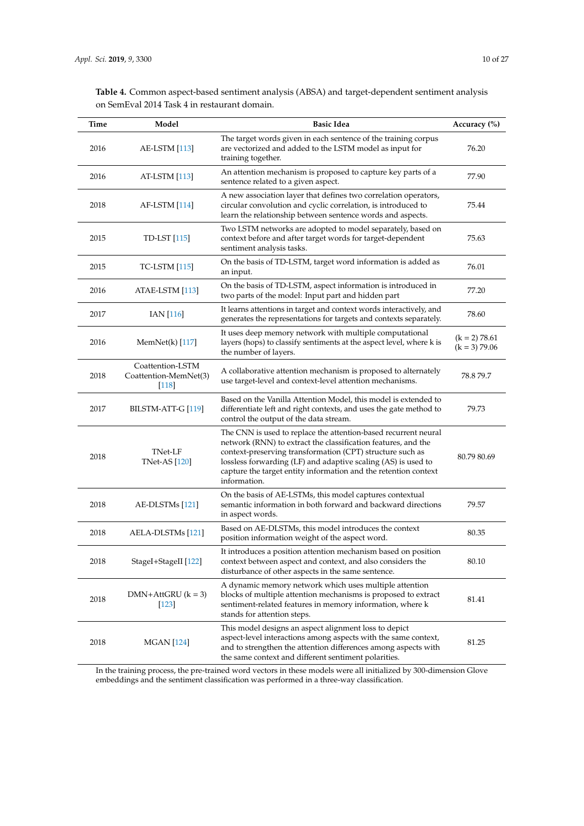| Time | Model                                                | <b>Basic Idea</b>                                                                                                                                                                                                                                                                                                                                 | Accuracy (%)                       |
|------|------------------------------------------------------|---------------------------------------------------------------------------------------------------------------------------------------------------------------------------------------------------------------------------------------------------------------------------------------------------------------------------------------------------|------------------------------------|
| 2016 | <b>AE-LSTM</b> [113]                                 | The target words given in each sentence of the training corpus<br>are vectorized and added to the LSTM model as input for<br>training together.                                                                                                                                                                                                   | 76.20                              |
| 2016 | AT-LSTM [113]                                        | An attention mechanism is proposed to capture key parts of a<br>sentence related to a given aspect.                                                                                                                                                                                                                                               | 77.90                              |
| 2018 | AF-LSTM [114]                                        | A new association layer that defines two correlation operators,<br>circular convolution and cyclic correlation, is introduced to<br>learn the relationship between sentence words and aspects.                                                                                                                                                    | 75.44                              |
| 2015 | <b>TD-LST</b> [115]                                  | Two LSTM networks are adopted to model separately, based on<br>context before and after target words for target-dependent<br>sentiment analysis tasks.                                                                                                                                                                                            | 75.63                              |
| 2015 | TC-LSTM [115]                                        | On the basis of TD-LSTM, target word information is added as<br>an input.                                                                                                                                                                                                                                                                         | 76.01                              |
| 2016 | ATAE-LSTM [113]                                      | On the basis of TD-LSTM, aspect information is introduced in<br>two parts of the model: Input part and hidden part                                                                                                                                                                                                                                | 77.20                              |
| 2017 | IAN [116]                                            | It learns attentions in target and context words interactively, and<br>generates the representations for targets and contexts separately.                                                                                                                                                                                                         | 78.60                              |
| 2016 | MemNet(k) [117]                                      | It uses deep memory network with multiple computational<br>layers (hops) to classify sentiments at the aspect level, where k is<br>the number of layers.                                                                                                                                                                                          | $(k = 2) 78.61$<br>$(k = 3)$ 79.06 |
| 2018 | Coattention-LSTM<br>Coattention-MemNet(3)<br>$[118]$ | A collaborative attention mechanism is proposed to alternately<br>use target-level and context-level attention mechanisms.                                                                                                                                                                                                                        | 78.879.7                           |
| 2017 | BILSTM-ATT-G [119]                                   | Based on the Vanilla Attention Model, this model is extended to<br>differentiate left and right contexts, and uses the gate method to<br>control the output of the data stream.                                                                                                                                                                   | 79.73                              |
| 2018 | TNet-LF<br><b>TNet-AS</b> [120]                      | The CNN is used to replace the attention-based recurrent neural<br>network (RNN) to extract the classification features, and the<br>context-preserving transformation (CPT) structure such as<br>lossless forwarding (LF) and adaptive scaling (AS) is used to<br>capture the target entity information and the retention context<br>information. | 80.79 80.69                        |
| 2018 | AE-DLSTMs [121]                                      | On the basis of AE-LSTMs, this model captures contextual<br>semantic information in both forward and backward directions<br>in aspect words.                                                                                                                                                                                                      | 79.57                              |
| 2018 | AELA-DLSTMs [121]                                    | Based on AE-DLSTMs, this model introduces the context<br>position information weight of the aspect word.                                                                                                                                                                                                                                          | 80.35                              |
| 2018 | StageI+StageII [122]                                 | It introduces a position attention mechanism based on position<br>context between aspect and context, and also considers the<br>disturbance of other aspects in the same sentence.                                                                                                                                                                | 80.10                              |
| 2018 | $DMN+AttGRU (k = 3)$<br>$\lceil 123 \rceil$          | A dynamic memory network which uses multiple attention<br>blocks of multiple attention mechanisms is proposed to extract<br>sentiment-related features in memory information, where k<br>stands for attention steps.                                                                                                                              | 81.41                              |
| 2018 | <b>MGAN</b> [124]                                    | This model designs an aspect alignment loss to depict<br>aspect-level interactions among aspects with the same context,<br>and to strengthen the attention differences among aspects with<br>the same context and different sentiment polarities.                                                                                                 | 81.25                              |

<span id="page-10-0"></span>**Table 4.** Common aspect-based sentiment analysis (ABSA) and target-dependent sentiment analysis on SemEval 2014 Task 4 in restaurant domain.

In the training process, the pre-trained word vectors in these models were all initialized by 300-dimension Glove embeddings and the sentiment classification was performed in a three-way classification.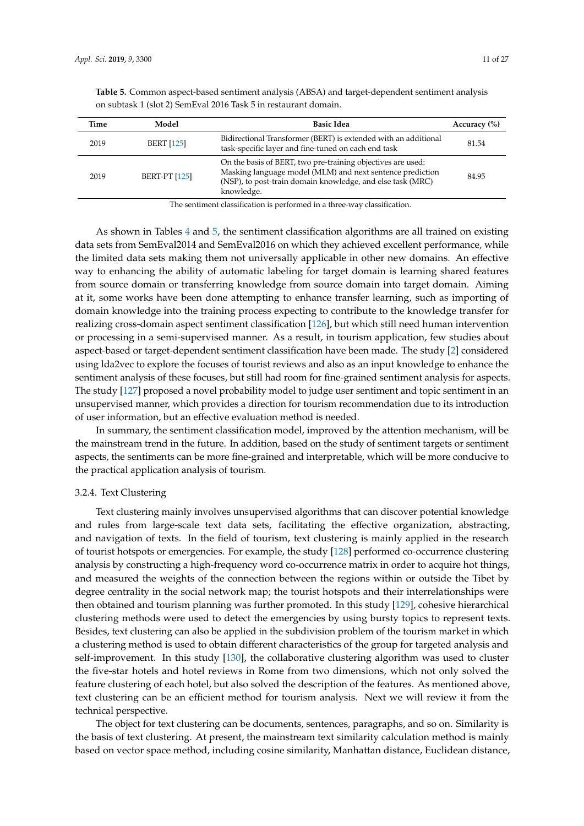| Time | Model                | <b>Basic Idea</b>                                                                                                                                                                                    | Accuracy $(\% )$ |
|------|----------------------|------------------------------------------------------------------------------------------------------------------------------------------------------------------------------------------------------|------------------|
| 2019 | <b>BERT</b> [125]    | Bidirectional Transformer (BERT) is extended with an additional<br>task-specific layer and fine-tuned on each end task                                                                               | 81.54            |
| 2019 | <b>BERT-PT [125]</b> | On the basis of BERT, two pre-training objectives are used:<br>Masking language model (MLM) and next sentence prediction<br>(NSP), to post-train domain knowledge, and else task (MRC)<br>knowledge. | 84.95            |

<span id="page-11-0"></span>**Table 5.** Common aspect-based sentiment analysis (ABSA) and target-dependent sentiment analysis on subtask 1 (slot 2) SemEval 2016 Task 5 in restaurant domain.

The sentiment classification is performed in a three-way classification.

As shown in Tables [4](#page-10-0) and [5,](#page-11-0) the sentiment classification algorithms are all trained on existing data sets from SemEval2014 and SemEval2016 on which they achieved excellent performance, while the limited data sets making them not universally applicable in other new domains. An effective way to enhancing the ability of automatic labeling for target domain is learning shared features from source domain or transferring knowledge from source domain into target domain. Aiming at it, some works have been done attempting to enhance transfer learning, such as importing of domain knowledge into the training process expecting to contribute to the knowledge transfer for realizing cross-domain aspect sentiment classification [\[126\]](#page-25-21), but which still need human intervention or processing in a semi-supervised manner. As a result, in tourism application, few studies about aspect-based or target-dependent sentiment classification have been made. The study [\[2\]](#page-20-1) considered using lda2vec to explore the focuses of tourist reviews and also as an input knowledge to enhance the sentiment analysis of these focuses, but still had room for fine-grained sentiment analysis for aspects. The study [\[127\]](#page-25-22) proposed a novel probability model to judge user sentiment and topic sentiment in an unsupervised manner, which provides a direction for tourism recommendation due to its introduction of user information, but an effective evaluation method is needed.

In summary, the sentiment classification model, improved by the attention mechanism, will be the mainstream trend in the future. In addition, based on the study of sentiment targets or sentiment aspects, the sentiments can be more fine-grained and interpretable, which will be more conducive to the practical application analysis of tourism.

#### 3.2.4. Text Clustering

Text clustering mainly involves unsupervised algorithms that can discover potential knowledge and rules from large-scale text data sets, facilitating the effective organization, abstracting, and navigation of texts. In the field of tourism, text clustering is mainly applied in the research of tourist hotspots or emergencies. For example, the study [\[128\]](#page-25-23) performed co-occurrence clustering analysis by constructing a high-frequency word co-occurrence matrix in order to acquire hot things, and measured the weights of the connection between the regions within or outside the Tibet by degree centrality in the social network map; the tourist hotspots and their interrelationships were then obtained and tourism planning was further promoted. In this study [\[129\]](#page-26-0), cohesive hierarchical clustering methods were used to detect the emergencies by using bursty topics to represent texts. Besides, text clustering can also be applied in the subdivision problem of the tourism market in which a clustering method is used to obtain different characteristics of the group for targeted analysis and self-improvement. In this study [\[130\]](#page-26-1), the collaborative clustering algorithm was used to cluster the five-star hotels and hotel reviews in Rome from two dimensions, which not only solved the feature clustering of each hotel, but also solved the description of the features. As mentioned above, text clustering can be an efficient method for tourism analysis. Next we will review it from the technical perspective.

The object for text clustering can be documents, sentences, paragraphs, and so on. Similarity is the basis of text clustering. At present, the mainstream text similarity calculation method is mainly based on vector space method, including cosine similarity, Manhattan distance, Euclidean distance,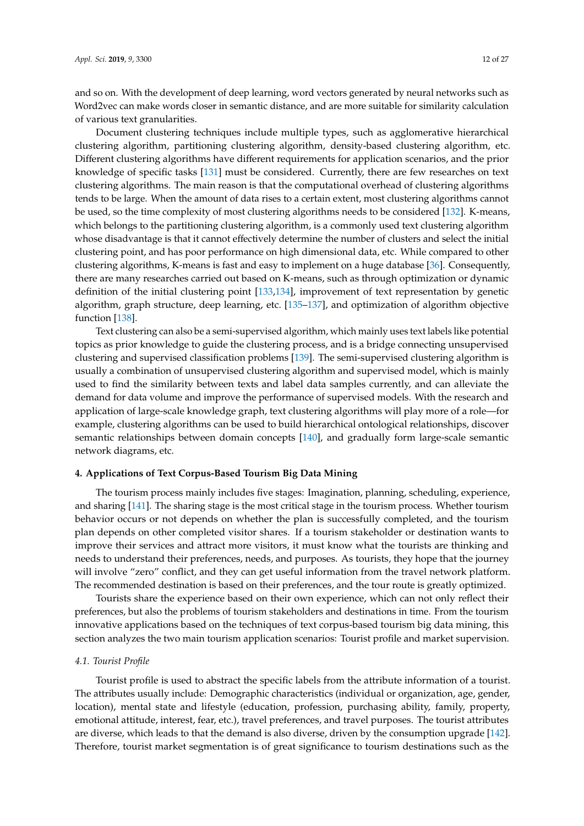and so on. With the development of deep learning, word vectors generated by neural networks such as Word2vec can make words closer in semantic distance, and are more suitable for similarity calculation of various text granularities.

Document clustering techniques include multiple types, such as agglomerative hierarchical clustering algorithm, partitioning clustering algorithm, density-based clustering algorithm, etc. Different clustering algorithms have different requirements for application scenarios, and the prior knowledge of specific tasks [\[131\]](#page-26-2) must be considered. Currently, there are few researches on text clustering algorithms. The main reason is that the computational overhead of clustering algorithms tends to be large. When the amount of data rises to a certain extent, most clustering algorithms cannot be used, so the time complexity of most clustering algorithms needs to be considered [\[132\]](#page-26-3). K-means, which belongs to the partitioning clustering algorithm, is a commonly used text clustering algorithm whose disadvantage is that it cannot effectively determine the number of clusters and select the initial clustering point, and has poor performance on high dimensional data, etc. While compared to other clustering algorithms, K-means is fast and easy to implement on a huge database [\[36\]](#page-22-2). Consequently, there are many researches carried out based on K-means, such as through optimization or dynamic definition of the initial clustering point [\[133](#page-26-4)[,134\]](#page-26-5), improvement of text representation by genetic algorithm, graph structure, deep learning, etc. [\[135–](#page-26-6)[137\]](#page-26-7), and optimization of algorithm objective function [\[138\]](#page-26-8).

Text clustering can also be a semi-supervised algorithm, which mainly uses text labels like potential topics as prior knowledge to guide the clustering process, and is a bridge connecting unsupervised clustering and supervised classification problems [\[139\]](#page-26-9). The semi-supervised clustering algorithm is usually a combination of unsupervised clustering algorithm and supervised model, which is mainly used to find the similarity between texts and label data samples currently, and can alleviate the demand for data volume and improve the performance of supervised models. With the research and application of large-scale knowledge graph, text clustering algorithms will play more of a role—for example, clustering algorithms can be used to build hierarchical ontological relationships, discover semantic relationships between domain concepts [\[140\]](#page-26-10), and gradually form large-scale semantic network diagrams, etc.

### <span id="page-12-0"></span>**4. Applications of Text Corpus-Based Tourism Big Data Mining**

The tourism process mainly includes five stages: Imagination, planning, scheduling, experience, and sharing [\[141\]](#page-26-11). The sharing stage is the most critical stage in the tourism process. Whether tourism behavior occurs or not depends on whether the plan is successfully completed, and the tourism plan depends on other completed visitor shares. If a tourism stakeholder or destination wants to improve their services and attract more visitors, it must know what the tourists are thinking and needs to understand their preferences, needs, and purposes. As tourists, they hope that the journey will involve "zero" conflict, and they can get useful information from the travel network platform. The recommended destination is based on their preferences, and the tour route is greatly optimized.

Tourists share the experience based on their own experience, which can not only reflect their preferences, but also the problems of tourism stakeholders and destinations in time. From the tourism innovative applications based on the techniques of text corpus-based tourism big data mining, this section analyzes the two main tourism application scenarios: Tourist profile and market supervision.

#### *4.1. Tourist Profile*

Tourist profile is used to abstract the specific labels from the attribute information of a tourist. The attributes usually include: Demographic characteristics (individual or organization, age, gender, location), mental state and lifestyle (education, profession, purchasing ability, family, property, emotional attitude, interest, fear, etc.), travel preferences, and travel purposes. The tourist attributes are diverse, which leads to that the demand is also diverse, driven by the consumption upgrade [\[142\]](#page-26-12). Therefore, tourist market segmentation is of great significance to tourism destinations such as the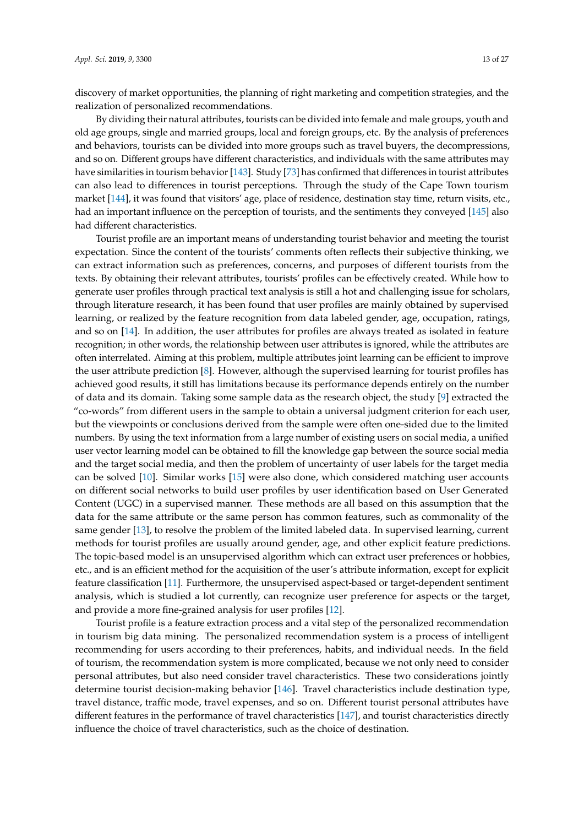discovery of market opportunities, the planning of right marketing and competition strategies, and the realization of personalized recommendations.

By dividing their natural attributes, tourists can be divided into female and male groups, youth and old age groups, single and married groups, local and foreign groups, etc. By the analysis of preferences and behaviors, tourists can be divided into more groups such as travel buyers, the decompressions, and so on. Different groups have different characteristics, and individuals with the same attributes may have similarities in tourism behavior [\[143\]](#page-26-13). Study [\[73\]](#page-23-17) has confirmed that differences in tourist attributes can also lead to differences in tourist perceptions. Through the study of the Cape Town tourism market [\[144\]](#page-26-14), it was found that visitors' age, place of residence, destination stay time, return visits, etc., had an important influence on the perception of tourists, and the sentiments they conveyed [\[145\]](#page-26-15) also had different characteristics.

Tourist profile are an important means of understanding tourist behavior and meeting the tourist expectation. Since the content of the tourists' comments often reflects their subjective thinking, we can extract information such as preferences, concerns, and purposes of different tourists from the texts. By obtaining their relevant attributes, tourists' profiles can be effectively created. While how to generate user profiles through practical text analysis is still a hot and challenging issue for scholars, through literature research, it has been found that user profiles are mainly obtained by supervised learning, or realized by the feature recognition from data labeled gender, age, occupation, ratings, and so on [\[14\]](#page-21-13). In addition, the user attributes for profiles are always treated as isolated in feature recognition; in other words, the relationship between user attributes is ignored, while the attributes are often interrelated. Aiming at this problem, multiple attributes joint learning can be efficient to improve the user attribute prediction [\[8\]](#page-20-7). However, although the supervised learning for tourist profiles has achieved good results, it still has limitations because its performance depends entirely on the number of data and its domain. Taking some sample data as the research object, the study [\[9\]](#page-20-8) extracted the "co-words" from different users in the sample to obtain a universal judgment criterion for each user, but the viewpoints or conclusions derived from the sample were often one-sided due to the limited numbers. By using the text information from a large number of existing users on social media, a unified user vector learning model can be obtained to fill the knowledge gap between the source social media and the target social media, and then the problem of uncertainty of user labels for the target media can be solved [\[10\]](#page-20-9). Similar works [\[15\]](#page-21-0) were also done, which considered matching user accounts on different social networks to build user profiles by user identification based on User Generated Content (UGC) in a supervised manner. These methods are all based on this assumption that the data for the same attribute or the same person has common features, such as commonality of the same gender [\[13\]](#page-21-14), to resolve the problem of the limited labeled data. In supervised learning, current methods for tourist profiles are usually around gender, age, and other explicit feature predictions. The topic-based model is an unsupervised algorithm which can extract user preferences or hobbies, etc., and is an efficient method for the acquisition of the user's attribute information, except for explicit feature classification [\[11\]](#page-20-10). Furthermore, the unsupervised aspect-based or target-dependent sentiment analysis, which is studied a lot currently, can recognize user preference for aspects or the target, and provide a more fine-grained analysis for user profiles [\[12\]](#page-21-15).

Tourist profile is a feature extraction process and a vital step of the personalized recommendation in tourism big data mining. The personalized recommendation system is a process of intelligent recommending for users according to their preferences, habits, and individual needs. In the field of tourism, the recommendation system is more complicated, because we not only need to consider personal attributes, but also need consider travel characteristics. These two considerations jointly determine tourist decision-making behavior [\[146\]](#page-26-16). Travel characteristics include destination type, travel distance, traffic mode, travel expenses, and so on. Different tourist personal attributes have different features in the performance of travel characteristics [\[147\]](#page-26-17), and tourist characteristics directly influence the choice of travel characteristics, such as the choice of destination.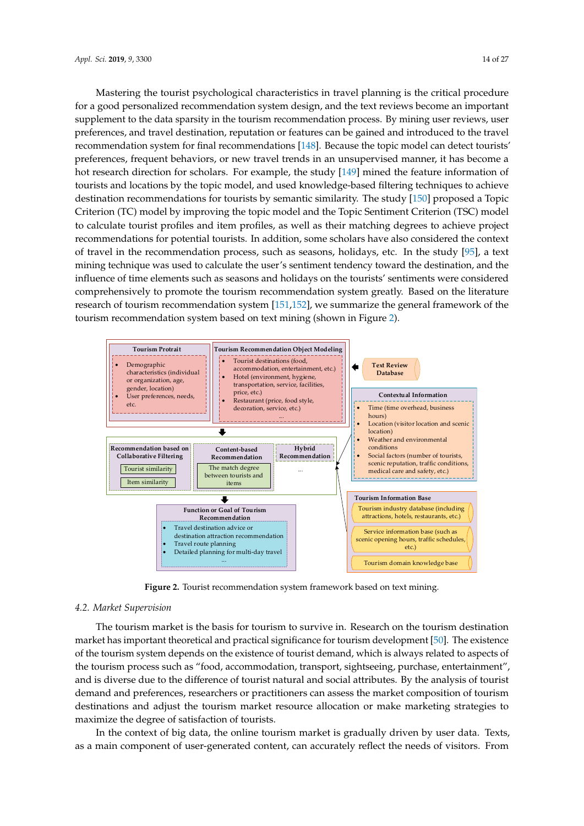Mastering the tourist psychological characteristics in travel planning is the critical procedure for a good personalized recommendation system design, and the text reviews become an important supplement to the data sparsity in the tourism recommendation process. By mining user reviews, user preferences, and travel destination, reputation or features can be gained and introduced to the travel recommendation system for final recommendations [\[148\]](#page-26-18). Because the topic model can detect tourists' preferences, frequent behaviors, or new travel trends in an unsupervised manner, it has become a hot research direction for scholars. For example, the study [\[149\]](#page-26-19) mined the feature information of tourists and locations by the topic model, and used knowledge-based filtering techniques to achieve destination recommendations for tourists by semantic similarity. The study [\[150\]](#page-26-20) proposed a Topic<br> **Apple. Sci.** *Apple.* Criterion (TC) model by improving the topic model and the Topic Sentiment Criterion (TSC) model to calculate tourist profiles and item profiles, as well as their matching degrees to achieve project recommendations for potential tourists. In addition, some scholars have also considered the context of travel in the recommendation process, such as seasons, holidays, etc. In the study  $[95]$ , a text mining technique was used to calculate the user's sentiment tendency toward the destination, and the influence of time elements such as seasons and holidays on the tourists' sentiments were considered comprehensively to promote the tourism recommendation system greatly. Based on the literature research of tourism recommendation system  $[151,152]$  $[151,152]$ , we summarize the general framework of the tourism recommendation system based on text mining (shown in Figure [2\)](#page-14-0). 2).

<span id="page-14-0"></span>

**Figure 2.** Tourist recommendation system framework based on text mining. **Figure 2.** Tourist recommendation system framework based on text mining.

# *4.2. Market Supervision 4.2. Market Supervision*

The tourism market is the basis for tourism to survive in. Research on the tourism destination The tourism market is the basis for tourism to survive in. Research on the tourism destination market has important theoretical and practical significance for tourism development [50]. The market has important theoretical and practical significance for tourism development [\[50\]](#page-22-15). The existence of the tourism system depends on the existence of tourist demand, which is always related to aspects of the tourism process such as "food, accommodation, transport, sightseeing, purchase, entertainment", and is diverse due to the difference of tourist natural and social attributes. By the analysis of tourist demand and preferences, researchers or practitioners can assess the market composition of tourism destinations and adjust the tourism market resource allocation or make marketing strategies to maximize the degree of satisfaction of tourists.

In the context of big data, the online tourism market is gradually driven by user data. Texts, as a main component of user-generated content, can accurately reflect the needs of visitors. From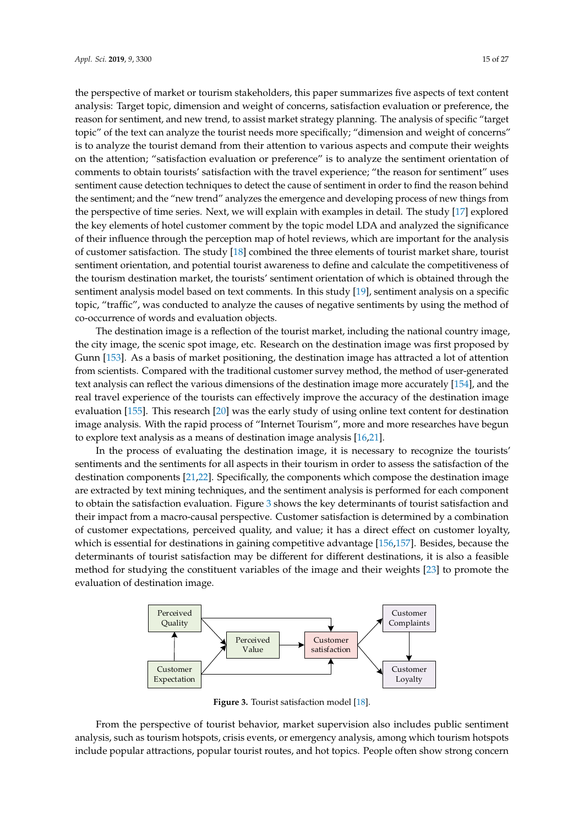the perspective of market or tourism stakeholders, this paper summarizes five aspects of text content analysis: Target topic, dimension and weight of concerns, satisfaction evaluation or preference, the reason for sentiment, and new trend, to assist market strategy planning. The analysis of specific "target topic" of the text can analyze the tourist needs more specifically; "dimension and weight of concerns" is to analyze the tourist demand from their attention to various aspects and compute their weights on the attention; "satisfaction evaluation or preference" is to analyze the sentiment orientation of comments to obtain tourists' satisfaction with the travel experience; "the reason for sentiment" uses sentiment cause detection techniques to detect the cause of sentiment in order to find the reason behind the sentiment; and the "new trend" analyzes the emergence and developing process of new things from the perspective of time series. Next, we will explain with examples in detail. The study [\[17\]](#page-21-16) explored the key elements of hotel customer comment by the topic model LDA and analyzed the significance<br>*Apple. Sci. Apple.* **2019** of their influence through the perception map of hotel reviews, which are important for the analysis of customer satisfaction. The study  $[18]$  combined the three elements of tourist market share, tourist sentiment orientation, and potential tourist awareness to define and calculate the competitiveness of the tourism destination market, the tourists' sentiment orientation of which is obtained through the sentiment analysis model based on text comments. In this study [\[19\]](#page-21-6), sentiment analysis on a specific topic, "traffic", was conducted to analyze the causes of negative sentiments by using the method of co-occurrence of words and evaluation objects.

The destination image is a reflection of the tourist market, including the national country image, The destination image is a reflection of the tourist market, including the national country image, the city image, the scenic spot image, etc. Research on the destination image was first proposed by the city image, the scenic spot image, etc. Research on the destination image was first proposed by Gunn [\[153\]](#page-27-1). As a basis of market positioning, the destination image has attracted a lot of attention Gunn [153]. As a basis of market positioning, the destination image has attracted a lot of attention from scientists. Compared with the traditional customer survey method, the method of user-generated from scientists. Compared with the traditional customer survey method, the method of user-text analysis can reflect the various dimensions of the destination image more accurately [\[154\]](#page-27-2), and the real travel experience of the tourists can effectively improve the accuracy of the destination image evaluation [\[155\]](#page-27-3). This research [\[20\]](#page-21-18) was the early study of using online text content for destination image analysis. With the rapid process of "Internet Tourism", more and more researches have begun to explore text analysis as a means of destination image analysis [\[16,](#page-21-1)[21\]](#page-21-19).

In the process of evaluating the destination image, it is necessary to recognize the tourists' In the process of evaluating the destination image, it is necessary to recognize the tourists' sentiments and the sentiments for all aspects in their tourism in order to assess the satisfaction of the sentiments and the sentiments for all aspects in their tourism in order to assess the satisfaction of the destination components [\[21,](#page-21-19)[22\]](#page-21-12). Specifically, the components which compose the destination image destination components [21,22]. Specifically, the components which compose the destination image are extracted by text mining techniques, and the sentiment analysis is performed for each component are extracted by text mining techniques, and the sentiment analysis is performed for each component to obtain the satisfaction evaluation. Figure 3 shows the key determinants of tourist satisfaction and to obtain the satisfaction evaluation. Figure [3](#page-15-0) shows the key determinants of tourist satisfaction and their impact from a macro-causal perspective. Customer satisfaction is determined by a combination their impact from a macro-causal perspective. Customer satisfaction is determined by a combination of customer expectations, perceived quality, and value; it has a direct effect on customer loyalty, of customer expectations, perceived quality, and value; it has a direct effect on customer loyalty, which is essential for destinations in gaining competitive advantage [\[156,](#page-27-4)[157\]](#page-27-5). Besides, because the which is essential for destinations in gaining competitive advantage [156,157]. Besides, because the determinants of tourist satisfaction may be different for different destinations, it is also a feasible determinants of tourist satisfaction may be different for different destinations, it is also a feasible method for studying the constituent variables of the image and their weights [\[23\]](#page-21-20) to promote the method for studying the constituent variables of the image and their weights [23] to promote the evaluation of destination image. evaluation of destination image.

<span id="page-15-0"></span>

**Figure 3.** Tourist satisfaction model [[18\]](#page-21-17). **Figure 3.** Tourist satisfaction model [18].

From the perspective of tourist behavior, market supervision also includes public sentiment From the perspective of tourist behavior, market supervision also includes public sentiment analysis, such as tourism hotspots, crisis events, or emergency analysis, among which tourism analysis, such as tourism hotspots, crisis events, or emergency analysis, among which tourism hotspots include popular attractions, popular tourist routes, and hot topics. People often show strong concern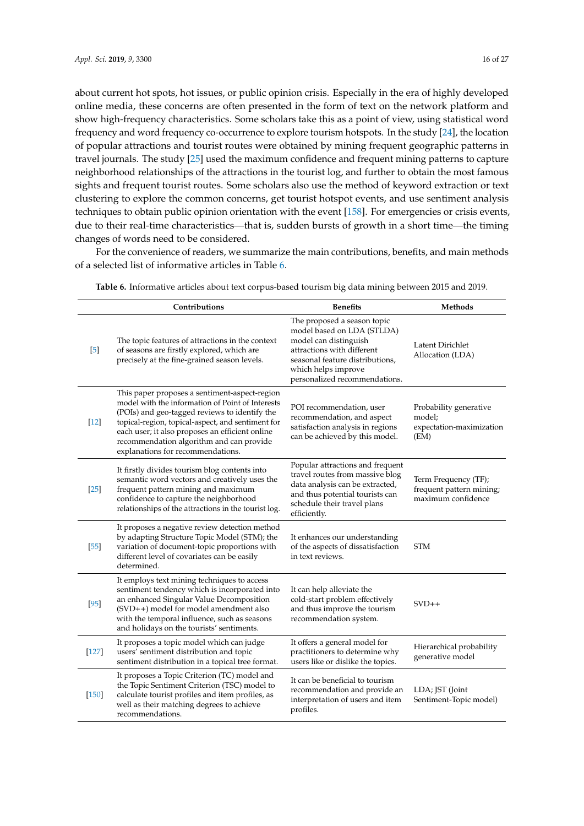changes of words need to be considered.

about current hot spots, hot issues, or public opinion crisis. Especially in the era of highly developed online media, these concerns are often presented in the form of text on the network platform and show high-frequency characteristics. Some scholars take this as a point of view, using statistical word frequency and word frequency co-occurrence to explore tourism hotspots. In the study [\[24\]](#page-21-21), the location of popular attractions and tourist routes were obtained by mining frequent geographic patterns in travel journals. The study [\[25\]](#page-21-2) used the maximum confidence and frequent mining patterns to capture neighborhood relationships of the attractions in the tourist log, and further to obtain the most famous sights and frequent tourist routes. Some scholars also use the method of keyword extraction or text clustering to explore the common concerns, get tourist hotspot events, and use sentiment analysis techniques to obtain public opinion orientation with the event [\[158\]](#page-27-6). For emergencies or crisis events, due to their real-time characteristics—that is, sudden bursts of growth in a short time—the timing

For the convenience of readers, we summarize the main contributions, benefits, and main methods of a selected list of informative articles in Table [6.](#page-16-0)

<span id="page-16-0"></span>

|                   | Contributions                                                                                                                                                                                                                                                                                                                               | <b>Benefits</b>                                                                                                                                                                                             | Methods                                                                |
|-------------------|---------------------------------------------------------------------------------------------------------------------------------------------------------------------------------------------------------------------------------------------------------------------------------------------------------------------------------------------|-------------------------------------------------------------------------------------------------------------------------------------------------------------------------------------------------------------|------------------------------------------------------------------------|
| $\lceil 5 \rceil$ | The topic features of attractions in the context<br>of seasons are firstly explored, which are<br>precisely at the fine-grained season levels.                                                                                                                                                                                              | The proposed a season topic<br>model based on LDA (STLDA)<br>model can distinguish<br>attractions with different<br>seasonal feature distributions,<br>which helps improve<br>personalized recommendations. | Latent Dirichlet<br>Allocation (LDA)                                   |
| $[12]$            | This paper proposes a sentiment-aspect-region<br>model with the information of Point of Interests<br>(POIs) and geo-tagged reviews to identify the<br>topical-region, topical-aspect, and sentiment for<br>each user; it also proposes an efficient online<br>recommendation algorithm and can provide<br>explanations for recommendations. | POI recommendation, user<br>recommendation, and aspect<br>satisfaction analysis in regions<br>can be achieved by this model.                                                                                | Probability generative<br>model;<br>expectation-maximization<br>(EM)   |
| $[25]$            | It firstly divides tourism blog contents into<br>semantic word vectors and creatively uses the<br>frequent pattern mining and maximum<br>confidence to capture the neighborhood<br>relationships of the attractions in the tourist log.                                                                                                     | Popular attractions and frequent<br>travel routes from massive blog<br>data analysis can be extracted,<br>and thus potential tourists can<br>schedule their travel plans<br>efficiently.                    | Term Frequency (TF);<br>frequent pattern mining;<br>maximum confidence |
| $[55]$            | It proposes a negative review detection method<br>by adapting Structure Topic Model (STM); the<br>variation of document-topic proportions with<br>different level of covariates can be easily<br>determined.                                                                                                                                | It enhances our understanding<br>of the aspects of dissatisfaction<br>in text reviews.                                                                                                                      | <b>STM</b>                                                             |
| $[95]$            | It employs text mining techniques to access<br>sentiment tendency which is incorporated into<br>an enhanced Singular Value Decomposition<br>(SVD++) model for model amendment also<br>with the temporal influence, such as seasons<br>and holidays on the tourists' sentiments.                                                             | It can help alleviate the<br>cold-start problem effectively<br>and thus improve the tourism<br>recommendation system.                                                                                       | $SVD++$                                                                |
| $[127]$           | It proposes a topic model which can judge<br>users' sentiment distribution and topic<br>sentiment distribution in a topical tree format.                                                                                                                                                                                                    | It offers a general model for<br>practitioners to determine why<br>users like or dislike the topics.                                                                                                        | Hierarchical probability<br>generative model                           |
| $[150]$           | It proposes a Topic Criterion (TC) model and<br>the Topic Sentiment Criterion (TSC) model to<br>calculate tourist profiles and item profiles, as<br>well as their matching degrees to achieve<br>recommendations.                                                                                                                           | It can be beneficial to tourism<br>recommendation and provide an<br>interpretation of users and item<br>profiles.                                                                                           | LDA; JST (Joint<br>Sentiment-Topic model)                              |

**Table 6.** Informative articles about text corpus-based tourism big data mining between 2015 and 2019.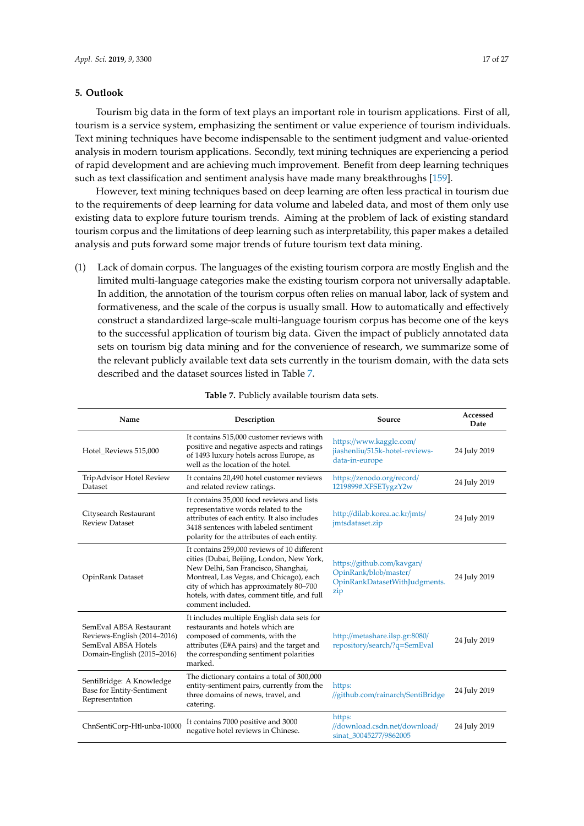### <span id="page-17-0"></span>**5. Outlook**

Tourism big data in the form of text plays an important role in tourism applications. First of all, tourism is a service system, emphasizing the sentiment or value experience of tourism individuals. Text mining techniques have become indispensable to the sentiment judgment and value-oriented analysis in modern tourism applications. Secondly, text mining techniques are experiencing a period of rapid development and are achieving much improvement. Benefit from deep learning techniques such as text classification and sentiment analysis have made many breakthroughs [\[159\]](#page-27-7).

However, text mining techniques based on deep learning are often less practical in tourism due to the requirements of deep learning for data volume and labeled data, and most of them only use existing data to explore future tourism trends. Aiming at the problem of lack of existing standard tourism corpus and the limitations of deep learning such as interpretability, this paper makes a detailed analysis and puts forward some major trends of future tourism text data mining.

(1) Lack of domain corpus. The languages of the existing tourism corpora are mostly English and the limited multi-language categories make the existing tourism corpora not universally adaptable. In addition, the annotation of the tourism corpus often relies on manual labor, lack of system and formativeness, and the scale of the corpus is usually small. How to automatically and effectively construct a standardized large-scale multi-language tourism corpus has become one of the keys to the successful application of tourism big data. Given the impact of publicly annotated data sets on tourism big data mining and for the convenience of research, we summarize some of the relevant publicly available text data sets currently in the tourism domain, with the data sets described and the dataset sources listed in Table [7.](#page-18-0)

| Name                                                                                                        | Description                                                                                                                                                                                                                                                                              | Source                                                                                      | Accessed<br>Date |
|-------------------------------------------------------------------------------------------------------------|------------------------------------------------------------------------------------------------------------------------------------------------------------------------------------------------------------------------------------------------------------------------------------------|---------------------------------------------------------------------------------------------|------------------|
| Hotel_Reviews 515,000                                                                                       | It contains 515,000 customer reviews with<br>positive and negative aspects and ratings<br>of 1493 luxury hotels across Europe, as<br>well as the location of the hotel.                                                                                                                  | https://www.kaggle.com/<br>jiashenliu/515k-hotel-reviews-<br>data-in-europe                 | 24 July 2019     |
| TripAdvisor Hotel Review<br>Dataset                                                                         | It contains 20,490 hotel customer reviews<br>and related review ratings.                                                                                                                                                                                                                 | https://zenodo.org/record/<br>1219899#.XFSETygzY2w                                          | 24 July 2019     |
| Citysearch Restaurant<br><b>Review Dataset</b>                                                              | It contains 35,000 food reviews and lists<br>representative words related to the<br>attributes of each entity. It also includes<br>3418 sentences with labeled sentiment<br>polarity for the attributes of each entity.                                                                  | http://dilab.korea.ac.kr/jmts/<br>jmtsdataset.zip                                           | 24 July 2019     |
| OpinRank Dataset                                                                                            | It contains 259,000 reviews of 10 different<br>cities (Dubai, Beijing, London, New York,<br>New Delhi, San Francisco, Shanghai,<br>Montreal, Las Vegas, and Chicago), each<br>city of which has approximately 80-700<br>hotels, with dates, comment title, and full<br>comment included. | https://github.com/kavgan/<br>OpinRank/blob/master/<br>OpinRankDatasetWithJudgments.<br>zip | 24 July 2019     |
| SemEval ABSA Restaurant<br>Reviews-English (2014–2016)<br>SemEval ABSA Hotels<br>Domain-English (2015-2016) | It includes multiple English data sets for<br>restaurants and hotels which are<br>composed of comments, with the<br>attributes (E#A pairs) and the target and<br>the corresponding sentiment polarities<br>marked.                                                                       | http://metashare.ilsp.gr:8080/<br>repository/search/?q=SemEval                              | 24 July 2019     |
| SentiBridge: A Knowledge<br>Base for Entity-Sentiment<br>Representation                                     | The dictionary contains a total of 300,000<br>entity-sentiment pairs, currently from the<br>three domains of news, travel, and<br>catering.                                                                                                                                              | https:<br>//github.com/rainarch/SentiBridge                                                 | 24 July 2019     |
| ChnSentiCorp-Htl-unba-10000                                                                                 | It contains 7000 positive and 3000<br>negative hotel reviews in Chinese.                                                                                                                                                                                                                 | https:<br>//download.csdn.net/download/<br>sinat_30045277/9862005                           | 24 July 2019     |

**Table 7.** Publicly available tourism data sets.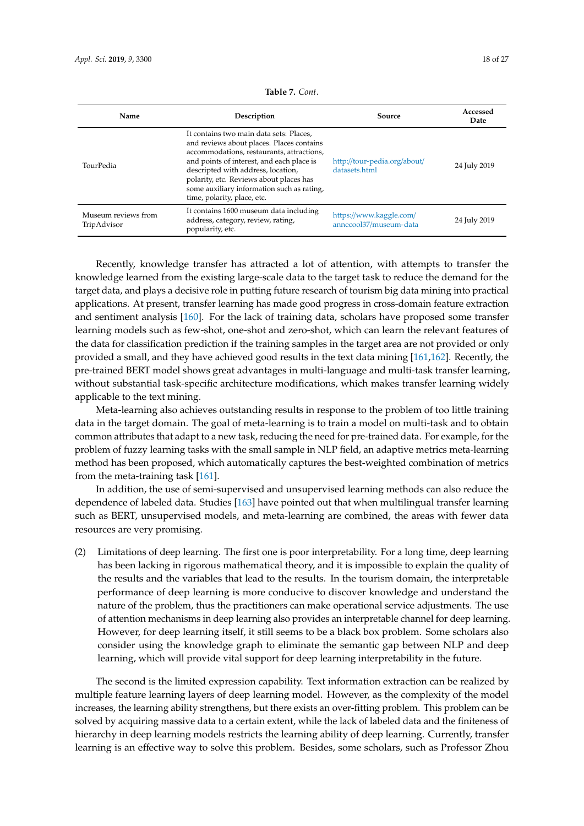<span id="page-18-0"></span>

| Name                               | Description                                                                                                                                                                                                                                                                                                                                  | Source                                            | Accessed<br>Date |
|------------------------------------|----------------------------------------------------------------------------------------------------------------------------------------------------------------------------------------------------------------------------------------------------------------------------------------------------------------------------------------------|---------------------------------------------------|------------------|
| TourPedia                          | It contains two main data sets: Places,<br>and reviews about places. Places contains<br>accommodations, restaurants, attractions,<br>and points of interest, and each place is<br>descripted with address, location,<br>polarity, etc. Reviews about places has<br>some auxiliary information such as rating,<br>time, polarity, place, etc. | http://tour-pedia.org/about/<br>datasets.html     | 24 July 2019     |
| Museum reviews from<br>TripAdvisor | It contains 1600 museum data including<br>address, category, review, rating,<br>popularity, etc.                                                                                                                                                                                                                                             | https://www.kaggle.com/<br>annecool37/museum-data | 24 July 2019     |

| <b>Table 7.</b> Cont. |  |  |
|-----------------------|--|--|
|-----------------------|--|--|

Recently, knowledge transfer has attracted a lot of attention, with attempts to transfer the knowledge learned from the existing large-scale data to the target task to reduce the demand for the target data, and plays a decisive role in putting future research of tourism big data mining into practical applications. At present, transfer learning has made good progress in cross-domain feature extraction and sentiment analysis [\[160\]](#page-27-8). For the lack of training data, scholars have proposed some transfer learning models such as few-shot, one-shot and zero-shot, which can learn the relevant features of the data for classification prediction if the training samples in the target area are not provided or only provided a small, and they have achieved good results in the text data mining [\[161](#page-27-9)[,162\]](#page-27-10). Recently, the pre-trained BERT model shows great advantages in multi-language and multi-task transfer learning, without substantial task-specific architecture modifications, which makes transfer learning widely applicable to the text mining.

Meta-learning also achieves outstanding results in response to the problem of too little training data in the target domain. The goal of meta-learning is to train a model on multi-task and to obtain common attributes that adapt to a new task, reducing the need for pre-trained data. For example, for the problem of fuzzy learning tasks with the small sample in NLP field, an adaptive metrics meta-learning method has been proposed, which automatically captures the best-weighted combination of metrics from the meta-training task [\[161\]](#page-27-9).

In addition, the use of semi-supervised and unsupervised learning methods can also reduce the dependence of labeled data. Studies [\[163\]](#page-27-11) have pointed out that when multilingual transfer learning such as BERT, unsupervised models, and meta-learning are combined, the areas with fewer data resources are very promising.

(2) Limitations of deep learning. The first one is poor interpretability. For a long time, deep learning has been lacking in rigorous mathematical theory, and it is impossible to explain the quality of the results and the variables that lead to the results. In the tourism domain, the interpretable performance of deep learning is more conducive to discover knowledge and understand the nature of the problem, thus the practitioners can make operational service adjustments. The use of attention mechanisms in deep learning also provides an interpretable channel for deep learning. However, for deep learning itself, it still seems to be a black box problem. Some scholars also consider using the knowledge graph to eliminate the semantic gap between NLP and deep learning, which will provide vital support for deep learning interpretability in the future.

The second is the limited expression capability. Text information extraction can be realized by multiple feature learning layers of deep learning model. However, as the complexity of the model increases, the learning ability strengthens, but there exists an over-fitting problem. This problem can be solved by acquiring massive data to a certain extent, while the lack of labeled data and the finiteness of hierarchy in deep learning models restricts the learning ability of deep learning. Currently, transfer learning is an effective way to solve this problem. Besides, some scholars, such as Professor Zhou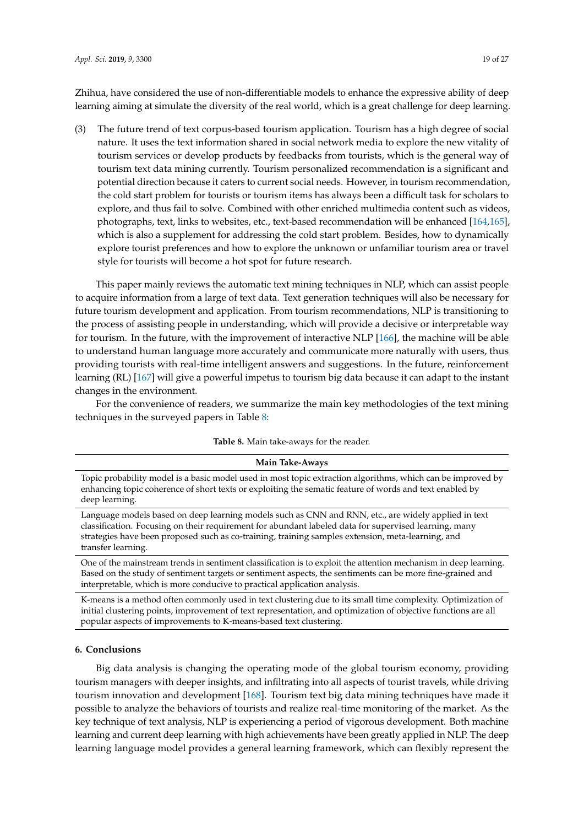Zhihua, have considered the use of non-differentiable models to enhance the expressive ability of deep learning aiming at simulate the diversity of the real world, which is a great challenge for deep learning.

(3) The future trend of text corpus-based tourism application. Tourism has a high degree of social nature. It uses the text information shared in social network media to explore the new vitality of tourism services or develop products by feedbacks from tourists, which is the general way of tourism text data mining currently. Tourism personalized recommendation is a significant and potential direction because it caters to current social needs. However, in tourism recommendation, the cold start problem for tourists or tourism items has always been a difficult task for scholars to explore, and thus fail to solve. Combined with other enriched multimedia content such as videos, photographs, text, links to websites, etc., text-based recommendation will be enhanced [\[164](#page-27-12)[,165\]](#page-27-13), which is also a supplement for addressing the cold start problem. Besides, how to dynamically explore tourist preferences and how to explore the unknown or unfamiliar tourism area or travel style for tourists will become a hot spot for future research.

This paper mainly reviews the automatic text mining techniques in NLP, which can assist people to acquire information from a large of text data. Text generation techniques will also be necessary for future tourism development and application. From tourism recommendations, NLP is transitioning to the process of assisting people in understanding, which will provide a decisive or interpretable way for tourism. In the future, with the improvement of interactive NLP [\[166\]](#page-27-14), the machine will be able to understand human language more accurately and communicate more naturally with users, thus providing tourists with real-time intelligent answers and suggestions. In the future, reinforcement learning (RL) [\[167\]](#page-27-15) will give a powerful impetus to tourism big data because it can adapt to the instant changes in the environment.

For the convenience of readers, we summarize the main key methodologies of the text mining techniques in the surveyed papers in Table [8:](#page-19-0)

| <b>Table 8.</b> Main take-aways for the reader. |  |
|-------------------------------------------------|--|
|-------------------------------------------------|--|

<span id="page-19-0"></span>

| <b>Main Take-Aways</b>                                                                                                                                                                                                                                                                                                                  |
|-----------------------------------------------------------------------------------------------------------------------------------------------------------------------------------------------------------------------------------------------------------------------------------------------------------------------------------------|
| Topic probability model is a basic model used in most topic extraction algorithms, which can be improved by<br>enhancing topic coherence of short texts or exploiting the sematic feature of words and text enabled by<br>deep learning.                                                                                                |
| Language models based on deep learning models such as CNN and RNN, etc., are widely applied in text<br>classification. Focusing on their requirement for abundant labeled data for supervised learning, many<br>strategies have been proposed such as co-training, training samples extension, meta-learning, and<br>transfer learning. |
| One of the mainstream trends in sentiment classification is to evolojt the attention mechanism in deep learning                                                                                                                                                                                                                         |

ment classification is to exploit the attention mechanism in deep learning. Based on the study of sentiment targets or sentiment aspects, the sentiments can be more fine-grained and interpretable, which is more conducive to practical application analysis.

K-means is a method often commonly used in text clustering due to its small time complexity. Optimization of initial clustering points, improvement of text representation, and optimization of objective functions are all popular aspects of improvements to K-means-based text clustering.

### **6. Conclusions**

Big data analysis is changing the operating mode of the global tourism economy, providing tourism managers with deeper insights, and infiltrating into all aspects of tourist travels, while driving tourism innovation and development [\[168\]](#page-27-16). Tourism text big data mining techniques have made it possible to analyze the behaviors of tourists and realize real-time monitoring of the market. As the key technique of text analysis, NLP is experiencing a period of vigorous development. Both machine learning and current deep learning with high achievements have been greatly applied in NLP. The deep learning language model provides a general learning framework, which can flexibly represent the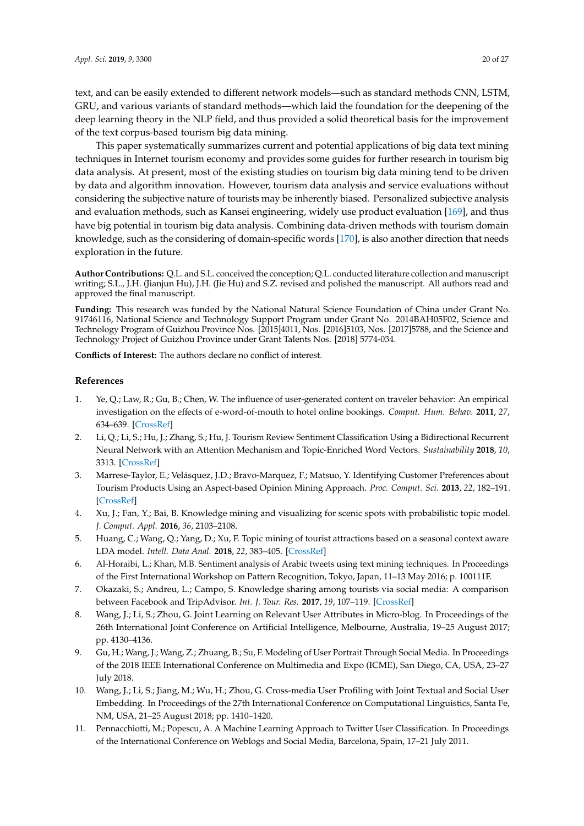text, and can be easily extended to different network models—such as standard methods CNN, LSTM, GRU, and various variants of standard methods—which laid the foundation for the deepening of the deep learning theory in the NLP field, and thus provided a solid theoretical basis for the improvement of the text corpus-based tourism big data mining.

This paper systematically summarizes current and potential applications of big data text mining techniques in Internet tourism economy and provides some guides for further research in tourism big data analysis. At present, most of the existing studies on tourism big data mining tend to be driven by data and algorithm innovation. However, tourism data analysis and service evaluations without considering the subjective nature of tourists may be inherently biased. Personalized subjective analysis and evaluation methods, such as Kansei engineering, widely use product evaluation [\[169\]](#page-27-17), and thus have big potential in tourism big data analysis. Combining data-driven methods with tourism domain knowledge, such as the considering of domain-specific words [\[170\]](#page-27-18), is also another direction that needs exploration in the future.

**Author Contributions:** Q.L. and S.L. conceived the conception; Q.L. conducted literature collection and manuscript writing; S.L., J.H. (Jianjun Hu), J.H. (Jie Hu) and S.Z. revised and polished the manuscript. All authors read and approved the final manuscript.

**Funding:** This research was funded by the National Natural Science Foundation of China under Grant No. 91746116, National Science and Technology Support Program under Grant No. 2014BAH05F02, Science and Technology Program of Guizhou Province Nos. [2015]4011, Nos. [2016]5103, Nos. [2017]5788, and the Science and Technology Project of Guizhou Province under Grant Talents Nos. [2018] 5774-034.

**Conflicts of Interest:** The authors declare no conflict of interest.

### **References**

- <span id="page-20-0"></span>1. Ye, Q.; Law, R.; Gu, B.; Chen, W. The influence of user-generated content on traveler behavior: An empirical investigation on the effects of e-word-of-mouth to hotel online bookings. *Comput. Hum. Behav.* **2011**, *27*, 634–639. [\[CrossRef\]](http://dx.doi.org/10.1016/j.chb.2010.04.014)
- <span id="page-20-1"></span>2. Li, Q.; Li, S.; Hu, J.; Zhang, S.; Hu, J. Tourism Review Sentiment Classification Using a Bidirectional Recurrent Neural Network with an Attention Mechanism and Topic-Enriched Word Vectors. *Sustainability* **2018**, *10*, 3313. [\[CrossRef\]](http://dx.doi.org/10.3390/su10093313)
- <span id="page-20-2"></span>3. Marrese-Taylor, E.; Velásquez, J.D.; Bravo-Marquez, F.; Matsuo, Y. Identifying Customer Preferences about Tourism Products Using an Aspect-based Opinion Mining Approach. *Proc. Comput. Sci.* **2013**, *22*, 182–191. [\[CrossRef\]](http://dx.doi.org/10.1016/j.procs.2013.09.094)
- <span id="page-20-3"></span>4. Xu, J.; Fan, Y.; Bai, B. Knowledge mining and visualizing for scenic spots with probabilistic topic model. *J. Comput. Appl.* **2016**, *36*, 2103–2108.
- <span id="page-20-4"></span>5. Huang, C.; Wang, Q.; Yang, D.; Xu, F. Topic mining of tourist attractions based on a seasonal context aware LDA model. *Intell. Data Anal.* **2018**, *22*, 383–405. [\[CrossRef\]](http://dx.doi.org/10.3233/IDA-173364)
- <span id="page-20-5"></span>6. Al-Horaibi, L.; Khan, M.B. Sentiment analysis of Arabic tweets using text mining techniques. In Proceedings of the First International Workshop on Pattern Recognition, Tokyo, Japan, 11–13 May 2016; p. 100111F.
- <span id="page-20-6"></span>7. Okazaki, S.; Andreu, L.; Campo, S. Knowledge sharing among tourists via social media: A comparison between Facebook and TripAdvisor. *Int. J. Tour. Res.* **2017**, *19*, 107–119. [\[CrossRef\]](http://dx.doi.org/10.1002/jtr.2090)
- <span id="page-20-7"></span>8. Wang, J.; Li, S.; Zhou, G. Joint Learning on Relevant User Attributes in Micro-blog. In Proceedings of the 26th International Joint Conference on Artificial Intelligence, Melbourne, Australia, 19–25 August 2017; pp. 4130–4136.
- <span id="page-20-8"></span>9. Gu, H.; Wang, J.; Wang, Z.; Zhuang, B.; Su, F. Modeling of User Portrait Through Social Media. In Proceedings of the 2018 IEEE International Conference on Multimedia and Expo (ICME), San Diego, CA, USA, 23–27 July 2018.
- <span id="page-20-9"></span>10. Wang, J.; Li, S.; Jiang, M.; Wu, H.; Zhou, G. Cross-media User Profiling with Joint Textual and Social User Embedding. In Proceedings of the 27th International Conference on Computational Linguistics, Santa Fe, NM, USA, 21–25 August 2018; pp. 1410–1420.
- <span id="page-20-10"></span>11. Pennacchiotti, M.; Popescu, A. A Machine Learning Approach to Twitter User Classification. In Proceedings of the International Conference on Weblogs and Social Media, Barcelona, Spain, 17–21 July 2011.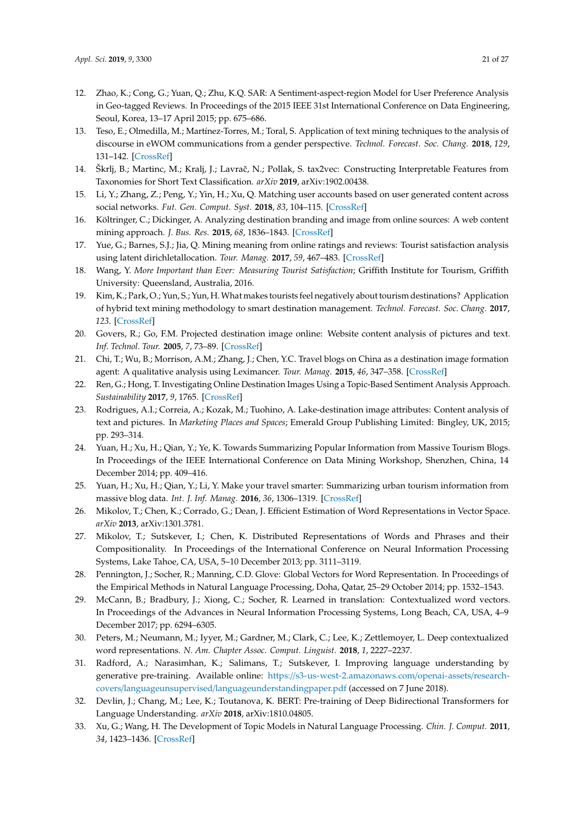- <span id="page-21-15"></span>12. Zhao, K.; Cong, G.; Yuan, Q.; Zhu, K.Q. SAR: A Sentiment-aspect-region Model for User Preference Analysis in Geo-tagged Reviews. In Proceedings of the 2015 IEEE 31st International Conference on Data Engineering, Seoul, Korea, 13–17 April 2015; pp. 675–686.
- <span id="page-21-14"></span>13. Teso, E.; Olmedilla, M.; Martínez-Torres, M.; Toral, S. Application of text mining techniques to the analysis of discourse in eWOM communications from a gender perspective. *Technol. Forecast. Soc. Chang.* **2018**, *129*, 131–142. [\[CrossRef\]](http://dx.doi.org/10.1016/j.techfore.2017.12.018)
- <span id="page-21-13"></span>14. Škrlj, B.; Martinc, M.; Kralj, J.; Lavrač, N.; Pollak, S. tax2vec: Constructing Interpretable Features from Taxonomies for Short Text Classification. *arXiv* **2019**, arXiv:1902.00438.
- <span id="page-21-0"></span>15. Li, Y.; Zhang, Z.; Peng, Y.; Yin, H.; Xu, Q. Matching user accounts based on user generated content across social networks. *Fut. Gen. Comput. Syst.* **2018**, *83*, 104–115. [\[CrossRef\]](http://dx.doi.org/10.1016/j.future.2018.01.041)
- <span id="page-21-1"></span>16. Költringer, C.; Dickinger, A. Analyzing destination branding and image from online sources: A web content mining approach. *J. Bus. Res.* **2015**, *68*, 1836–1843. [\[CrossRef\]](http://dx.doi.org/10.1016/j.jbusres.2015.01.011)
- <span id="page-21-16"></span>17. Yue, G.; Barnes, S.J.; Jia, Q. Mining meaning from online ratings and reviews: Tourist satisfaction analysis using latent dirichletallocation. *Tour. Manag.* **2017**, *59*, 467–483. [\[CrossRef\]](http://dx.doi.org/10.1016/j.tourman.2016.09.009)
- <span id="page-21-17"></span>18. Wang, Y. *More Important than Ever: Measuring Tourist Satisfaction*; Griffith Institute for Tourism, Griffith University: Queensland, Australia, 2016.
- <span id="page-21-6"></span>19. Kim, K.; Park, O.; Yun, S.; Yun, H. What makes tourists feel negatively about tourism destinations? Application of hybrid text mining methodology to smart destination management. *Technol. Forecast. Soc. Chang.* **2017**, *123*. [\[CrossRef\]](http://dx.doi.org/10.1016/j.techfore.2017.01.001)
- <span id="page-21-18"></span>20. Govers, R.; Go, F.M. Projected destination image online: Website content analysis of pictures and text. *Inf. Technol. Tour.* **2005**, *7*, 73–89. [\[CrossRef\]](http://dx.doi.org/10.3727/1098305054517327)
- <span id="page-21-19"></span>21. Chi, T.; Wu, B.; Morrison, A.M.; Zhang, J.; Chen, Y.C. Travel blogs on China as a destination image formation agent: A qualitative analysis using Leximancer. *Tour. Manag.* **2015**, *46*, 347–358. [\[CrossRef\]](http://dx.doi.org/10.1016/j.tourman.2014.07.012)
- <span id="page-21-12"></span>22. Ren, G.; Hong, T. Investigating Online Destination Images Using a Topic-Based Sentiment Analysis Approach. *Sustainability* **2017**, *9*, 1765. [\[CrossRef\]](http://dx.doi.org/10.3390/su9101765)
- <span id="page-21-20"></span>23. Rodrigues, A.I.; Correia, A.; Kozak, M.; Tuohino, A. Lake-destination image attributes: Content analysis of text and pictures. In *Marketing Places and Spaces*; Emerald Group Publishing Limited: Bingley, UK, 2015; pp. 293–314.
- <span id="page-21-21"></span>24. Yuan, H.; Xu, H.; Qian, Y.; Ye, K. Towards Summarizing Popular Information from Massive Tourism Blogs. In Proceedings of the IEEE International Conference on Data Mining Workshop, Shenzhen, China, 14 December 2014; pp. 409–416.
- <span id="page-21-2"></span>25. Yuan, H.; Xu, H.; Qian, Y.; Li, Y. Make your travel smarter: Summarizing urban tourism information from massive blog data. *Int. J. Inf. Manag.* **2016**, *36*, 1306–1319. [\[CrossRef\]](http://dx.doi.org/10.1016/j.ijinfomgt.2016.02.009)
- <span id="page-21-3"></span>26. Mikolov, T.; Chen, K.; Corrado, G.; Dean, J. Efficient Estimation of Word Representations in Vector Space. *arXiv* **2013**, arXiv:1301.3781.
- <span id="page-21-7"></span>27. Mikolov, T.; Sutskever, I.; Chen, K. Distributed Representations of Words and Phrases and their Compositionality. In Proceedings of the International Conference on Neural Information Processing Systems, Lake Tahoe, CA, USA, 5–10 December 2013; pp. 3111–3119.
- <span id="page-21-8"></span>28. Pennington, J.; Socher, R.; Manning, C.D. Glove: Global Vectors for Word Representation. In Proceedings of the Empirical Methods in Natural Language Processing, Doha, Qatar, 25–29 October 2014; pp. 1532–1543.
- <span id="page-21-9"></span>29. McCann, B.; Bradbury, J.; Xiong, C.; Socher, R. Learned in translation: Contextualized word vectors. In Proceedings of the Advances in Neural Information Processing Systems, Long Beach, CA, USA, 4–9 December 2017; pp. 6294–6305.
- <span id="page-21-10"></span>30. Peters, M.; Neumann, M.; Iyyer, M.; Gardner, M.; Clark, C.; Lee, K.; Zettlemoyer, L. Deep contextualized word representations. *N. Am. Chapter Assoc. Comput. Linguist.* **2018**, *1*, 2227–2237.
- <span id="page-21-11"></span>31. Radford, A.; Narasimhan, K.; Salimans, T.; Sutskever, I. Improving language understanding by generative pre-training. Available online: https://[s3-us-west-2.amazonaws.com](https://s3-us-west-2.amazonaws.com/openai-assets/research-covers/languageunsupervised/language understanding paper.pdf)/openai-assets/researchcovers/languageunsupervised/[languageunderstandingpaper.pdf](https://s3-us-west-2.amazonaws.com/openai-assets/research-covers/languageunsupervised/language understanding paper.pdf) (accessed on 7 June 2018).
- <span id="page-21-4"></span>32. Devlin, J.; Chang, M.; Lee, K.; Toutanova, K. BERT: Pre-training of Deep Bidirectional Transformers for Language Understanding. *arXiv* **2018**, arXiv:1810.04805.
- <span id="page-21-5"></span>33. Xu, G.; Wang, H. The Development of Topic Models in Natural Language Processing. *Chin. J. Comput.* **2011**, *34*, 1423–1436. [\[CrossRef\]](http://dx.doi.org/10.3724/SP.J.1016.2011.01423)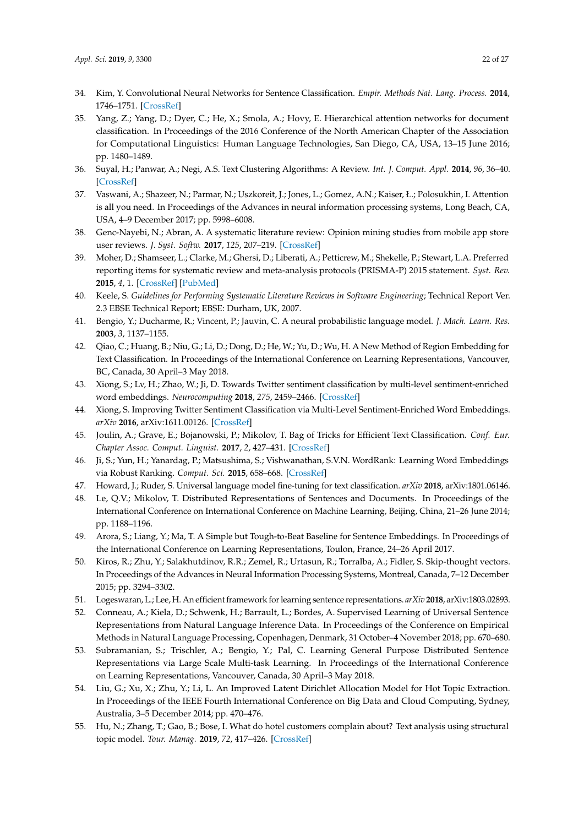- <span id="page-22-0"></span>34. Kim, Y. Convolutional Neural Networks for Sentence Classification. *Empir. Methods Nat. Lang. Process.* **2014**, 1746–1751. [\[CrossRef\]](http://dx.doi.org/10.3115/v1/d14-1181)
- <span id="page-22-1"></span>35. Yang, Z.; Yang, D.; Dyer, C.; He, X.; Smola, A.; Hovy, E. Hierarchical attention networks for document classification. In Proceedings of the 2016 Conference of the North American Chapter of the Association for Computational Linguistics: Human Language Technologies, San Diego, CA, USA, 13–15 June 2016; pp. 1480–1489.
- <span id="page-22-2"></span>36. Suyal, H.; Panwar, A.; Negi, A.S. Text Clustering Algorithms: A Review. *Int. J. Comput. Appl.* **2014**, *96*, 36–40. [\[CrossRef\]](http://dx.doi.org/10.5120/16946-7075)
- <span id="page-22-3"></span>37. Vaswani, A.; Shazeer, N.; Parmar, N.; Uszkoreit, J.; Jones, L.; Gomez, A.N.; Kaiser, Ł.; Polosukhin, I. Attention is all you need. In Proceedings of the Advances in neural information processing systems, Long Beach, CA, USA, 4–9 December 2017; pp. 5998–6008.
- <span id="page-22-4"></span>38. Genc-Nayebi, N.; Abran, A. A systematic literature review: Opinion mining studies from mobile app store user reviews. *J. Syst. Softw.* **2017**, *125*, 207–219. [\[CrossRef\]](http://dx.doi.org/10.1016/j.jss.2016.11.027)
- <span id="page-22-5"></span>39. Moher, D.; Shamseer, L.; Clarke, M.; Ghersi, D.; Liberati, A.; Petticrew, M.; Shekelle, P.; Stewart, L.A. Preferred reporting items for systematic review and meta-analysis protocols (PRISMA-P) 2015 statement. *Syst. Rev.* **2015**, *4*, 1. [\[CrossRef\]](http://dx.doi.org/10.1186/2046-4053-4-1) [\[PubMed\]](http://www.ncbi.nlm.nih.gov/pubmed/25554246)
- <span id="page-22-6"></span>40. Keele, S. *Guidelines for Performing Systematic Literature Reviews in Software Engineering*; Technical Report Ver. 2.3 EBSE Technical Report; EBSE: Durham, UK, 2007.
- <span id="page-22-7"></span>41. Bengio, Y.; Ducharme, R.; Vincent, P.; Jauvin, C. A neural probabilistic language model. *J. Mach. Learn. Res.* **2003**, *3*, 1137–1155.
- <span id="page-22-8"></span>42. Qiao, C.; Huang, B.; Niu, G.; Li, D.; Dong, D.; He, W.; Yu, D.; Wu, H. A New Method of Region Embedding for Text Classification. In Proceedings of the International Conference on Learning Representations, Vancouver, BC, Canada, 30 April–3 May 2018.
- 43. Xiong, S.; Lv, H.; Zhao, W.; Ji, D. Towards Twitter sentiment classification by multi-level sentiment-enriched word embeddings. *Neurocomputing* **2018**, *275*, 2459–2466. [\[CrossRef\]](http://dx.doi.org/10.1016/j.neucom.2017.11.023)
- <span id="page-22-9"></span>44. Xiong, S. Improving Twitter Sentiment Classification via Multi-Level Sentiment-Enriched Word Embeddings. *arXiv* **2016**, arXiv:1611.00126. [\[CrossRef\]](http://dx.doi.org/10.1016/j.neucom.2017.11.023)
- <span id="page-22-10"></span>45. Joulin, A.; Grave, E.; Bojanowski, P.; Mikolov, T. Bag of Tricks for Efficient Text Classification. *Conf. Eur. Chapter Assoc. Comput. Linguist.* **2017**, *2*, 427–431. [\[CrossRef\]](http://dx.doi.org/10.18653/v1/e17-2068)
- <span id="page-22-11"></span>46. Ji, S.; Yun, H.; Yanardag, P.; Matsushima, S.; Vishwanathan, S.V.N. WordRank: Learning Word Embeddings via Robust Ranking. *Comput. Sci.* **2015**, 658–668. [\[CrossRef\]](http://dx.doi.org/10.18653/v1/d16-1063)
- <span id="page-22-12"></span>47. Howard, J.; Ruder, S. Universal language model fine-tuning for text classification. *arXiv* **2018**, arXiv:1801.06146.
- <span id="page-22-13"></span>48. Le, Q.V.; Mikolov, T. Distributed Representations of Sentences and Documents. In Proceedings of the International Conference on International Conference on Machine Learning, Beijing, China, 21–26 June 2014; pp. 1188–1196.
- <span id="page-22-14"></span>49. Arora, S.; Liang, Y.; Ma, T. A Simple but Tough-to-Beat Baseline for Sentence Embeddings. In Proceedings of the International Conference on Learning Representations, Toulon, France, 24–26 April 2017.
- <span id="page-22-15"></span>50. Kiros, R.; Zhu, Y.; Salakhutdinov, R.R.; Zemel, R.; Urtasun, R.; Torralba, A.; Fidler, S. Skip-thought vectors. In Proceedings of the Advances in Neural Information Processing Systems, Montreal, Canada, 7–12 December 2015; pp. 3294–3302.
- <span id="page-22-17"></span><span id="page-22-16"></span>51. Logeswaran, L.; Lee, H. An efficient framework for learning sentence representations. *arXiv* **2018**, arXiv:1803.02893.
- 52. Conneau, A.; Kiela, D.; Schwenk, H.; Barrault, L.; Bordes, A. Supervised Learning of Universal Sentence Representations from Natural Language Inference Data. In Proceedings of the Conference on Empirical Methods in Natural Language Processing, Copenhagen, Denmark, 31 October–4 November 2018; pp. 670–680.
- <span id="page-22-18"></span>53. Subramanian, S.; Trischler, A.; Bengio, Y.; Pal, C. Learning General Purpose Distributed Sentence Representations via Large Scale Multi-task Learning. In Proceedings of the International Conference on Learning Representations, Vancouver, Canada, 30 April–3 May 2018.
- <span id="page-22-19"></span>54. Liu, G.; Xu, X.; Zhu, Y.; Li, L. An Improved Latent Dirichlet Allocation Model for Hot Topic Extraction. In Proceedings of the IEEE Fourth International Conference on Big Data and Cloud Computing, Sydney, Australia, 3–5 December 2014; pp. 470–476.
- <span id="page-22-20"></span>55. Hu, N.; Zhang, T.; Gao, B.; Bose, I. What do hotel customers complain about? Text analysis using structural topic model. *Tour. Manag.* **2019**, *72*, 417–426. [\[CrossRef\]](http://dx.doi.org/10.1016/j.tourman.2019.01.002)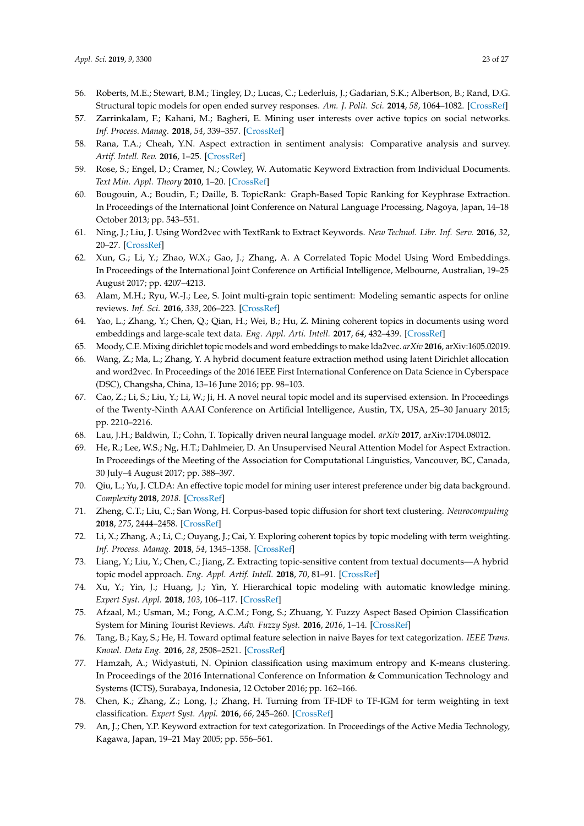- <span id="page-23-0"></span>56. Roberts, M.E.; Stewart, B.M.; Tingley, D.; Lucas, C.; Lederluis, J.; Gadarian, S.K.; Albertson, B.; Rand, D.G. Structural topic models for open ended survey responses. *Am. J. Polit. Sci.* **2014**, *58*, 1064–1082. [\[CrossRef\]](http://dx.doi.org/10.1111/ajps.12103)
- <span id="page-23-1"></span>57. Zarrinkalam, F.; Kahani, M.; Bagheri, E. Mining user interests over active topics on social networks. *Inf. Process. Manag.* **2018**, *54*, 339–357. [\[CrossRef\]](http://dx.doi.org/10.1016/j.ipm.2017.12.003)
- <span id="page-23-2"></span>58. Rana, T.A.; Cheah, Y.N. Aspect extraction in sentiment analysis: Comparative analysis and survey. *Artif. Intell. Rev.* **2016**, 1–25. [\[CrossRef\]](http://dx.doi.org/10.1007/s10462-016-9472-z)
- <span id="page-23-3"></span>59. Rose, S.; Engel, D.; Cramer, N.; Cowley, W. Automatic Keyword Extraction from Individual Documents. *Text Min. Appl. Theory* **2010**, 1–20. [\[CrossRef\]](http://dx.doi.org/10.1002/9780470689646.ch1pp)
- <span id="page-23-4"></span>60. Bougouin, A.; Boudin, F.; Daille, B. TopicRank: Graph-Based Topic Ranking for Keyphrase Extraction. In Proceedings of the International Joint Conference on Natural Language Processing, Nagoya, Japan, 14–18 October 2013; pp. 543–551.
- <span id="page-23-5"></span>61. Ning, J.; Liu, J. Using Word2vec with TextRank to Extract Keywords. *New Technol. Libr. Inf. Serv.* **2016**, *32*, 20–27. [\[CrossRef\]](http://dx.doi.org/10.11925/infotech.1003-3513.2016.06.03)
- <span id="page-23-6"></span>62. Xun, G.; Li, Y.; Zhao, W.X.; Gao, J.; Zhang, A. A Correlated Topic Model Using Word Embeddings. In Proceedings of the International Joint Conference on Artificial Intelligence, Melbourne, Australian, 19–25 August 2017; pp. 4207–4213.
- <span id="page-23-7"></span>63. Alam, M.H.; Ryu, W.-J.; Lee, S. Joint multi-grain topic sentiment: Modeling semantic aspects for online reviews. *Inf. Sci.* **2016**, *339*, 206–223. [\[CrossRef\]](http://dx.doi.org/10.1016/j.ins.2016.01.013)
- <span id="page-23-8"></span>64. Yao, L.; Zhang, Y.; Chen, Q.; Qian, H.; Wei, B.; Hu, Z. Mining coherent topics in documents using word embeddings and large-scale text data. *Eng. Appl. Arti. Intell.* **2017**, *64*, 432–439. [\[CrossRef\]](http://dx.doi.org/10.1016/j.engappai.2017.06.024)
- <span id="page-23-9"></span>65. Moody, C.E. Mixing dirichlet topic models and word embeddings to make lda2vec. *arXiv* **2016**, arXiv:1605.02019.
- <span id="page-23-10"></span>66. Wang, Z.; Ma, L.; Zhang, Y. A hybrid document feature extraction method using latent Dirichlet allocation and word2vec. In Proceedings of the 2016 IEEE First International Conference on Data Science in Cyberspace (DSC), Changsha, China, 13–16 June 2016; pp. 98–103.
- <span id="page-23-11"></span>67. Cao, Z.; Li, S.; Liu, Y.; Li, W.; Ji, H. A novel neural topic model and its supervised extension. In Proceedings of the Twenty-Ninth AAAI Conference on Artificial Intelligence, Austin, TX, USA, 25–30 January 2015; pp. 2210–2216.
- <span id="page-23-12"></span>68. Lau, J.H.; Baldwin, T.; Cohn, T. Topically driven neural language model. *arXiv* **2017**, arXiv:1704.08012.
- <span id="page-23-13"></span>69. He, R.; Lee, W.S.; Ng, H.T.; Dahlmeier, D. An Unsupervised Neural Attention Model for Aspect Extraction. In Proceedings of the Meeting of the Association for Computational Linguistics, Vancouver, BC, Canada, 30 July–4 August 2017; pp. 388–397.
- <span id="page-23-14"></span>70. Qiu, L.; Yu, J. CLDA: An effective topic model for mining user interest preference under big data background. *Complexity* **2018**, *2018*. [\[CrossRef\]](http://dx.doi.org/10.1155/2018/2503816)
- <span id="page-23-15"></span>71. Zheng, C.T.; Liu, C.; San Wong, H. Corpus-based topic diffusion for short text clustering. *Neurocomputing* **2018**, *275*, 2444–2458. [\[CrossRef\]](http://dx.doi.org/10.1016/j.neucom.2017.11.019)
- <span id="page-23-16"></span>72. Li, X.; Zhang, A.; Li, C.; Ouyang, J.; Cai, Y. Exploring coherent topics by topic modeling with term weighting. *Inf. Process. Manag.* **2018**, *54*, 1345–1358. [\[CrossRef\]](http://dx.doi.org/10.1016/j.ipm.2018.05.009)
- <span id="page-23-17"></span>73. Liang, Y.; Liu, Y.; Chen, C.; Jiang, Z. Extracting topic-sensitive content from textual documents—A hybrid topic model approach. *Eng. Appl. Artif. Intell.* **2018**, *70*, 81–91. [\[CrossRef\]](http://dx.doi.org/10.1016/j.engappai.2017.12.010)
- <span id="page-23-18"></span>74. Xu, Y.; Yin, J.; Huang, J.; Yin, Y. Hierarchical topic modeling with automatic knowledge mining. *Expert Syst. Appl.* **2018**, *103*, 106–117. [\[CrossRef\]](http://dx.doi.org/10.1016/j.eswa.2018.03.008)
- <span id="page-23-19"></span>75. Afzaal, M.; Usman, M.; Fong, A.C.M.; Fong, S.; Zhuang, Y. Fuzzy Aspect Based Opinion Classification System for Mining Tourist Reviews. *Adv. Fuzzy Syst.* **2016**, *2016*, 1–14. [\[CrossRef\]](http://dx.doi.org/10.1155/2016/6965725)
- <span id="page-23-20"></span>76. Tang, B.; Kay, S.; He, H. Toward optimal feature selection in naive Bayes for text categorization. *IEEE Trans. Knowl. Data Eng.* **2016**, *28*, 2508–2521. [\[CrossRef\]](http://dx.doi.org/10.1109/TKDE.2016.2563436)
- <span id="page-23-21"></span>77. Hamzah, A.; Widyastuti, N. Opinion classification using maximum entropy and K-means clustering. In Proceedings of the 2016 International Conference on Information & Communication Technology and Systems (ICTS), Surabaya, Indonesia, 12 October 2016; pp. 162–166.
- <span id="page-23-22"></span>78. Chen, K.; Zhang, Z.; Long, J.; Zhang, H. Turning from TF-IDF to TF-IGM for term weighting in text classification. *Expert Syst. Appl.* **2016**, *66*, 245–260. [\[CrossRef\]](http://dx.doi.org/10.1016/j.eswa.2016.09.009)
- <span id="page-23-23"></span>79. An, J.; Chen, Y.P. Keyword extraction for text categorization. In Proceedings of the Active Media Technology, Kagawa, Japan, 19–21 May 2005; pp. 556–561.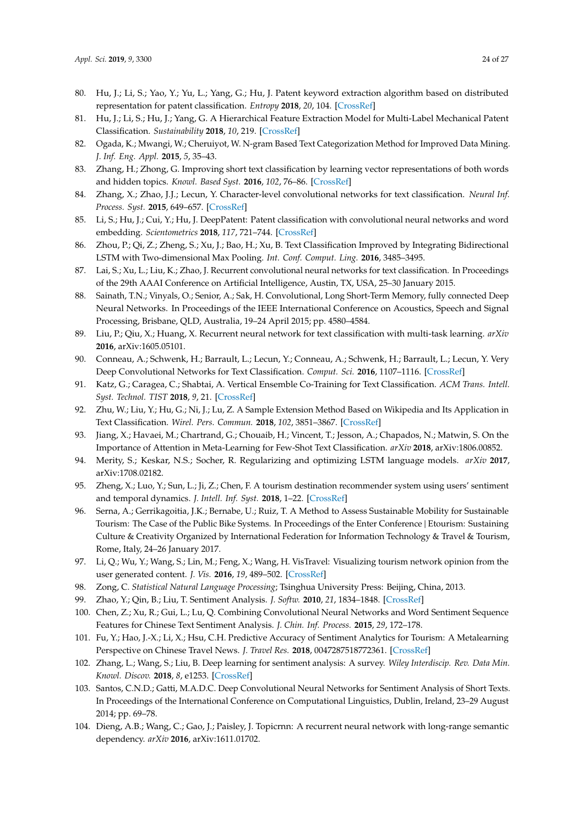- <span id="page-24-0"></span>80. Hu, J.; Li, S.; Yao, Y.; Yu, L.; Yang, G.; Hu, J. Patent keyword extraction algorithm based on distributed representation for patent classification. *Entropy* **2018**, *20*, 104. [\[CrossRef\]](http://dx.doi.org/10.3390/e20020104)
- <span id="page-24-1"></span>81. Hu, J.; Li, S.; Hu, J.; Yang, G. A Hierarchical Feature Extraction Model for Multi-Label Mechanical Patent Classification. *Sustainability* **2018**, *10*, 219. [\[CrossRef\]](http://dx.doi.org/10.3390/su10010219)
- <span id="page-24-2"></span>82. Ogada, K.; Mwangi, W.; Cheruiyot, W. N-gram Based Text Categorization Method for Improved Data Mining. *J. Inf. Eng. Appl.* **2015**, *5*, 35–43.
- <span id="page-24-3"></span>83. Zhang, H.; Zhong, G. Improving short text classification by learning vector representations of both words and hidden topics. *Knowl. Based Syst.* **2016**, *102*, 76–86. [\[CrossRef\]](http://dx.doi.org/10.1016/j.knosys.2016.03.027)
- <span id="page-24-4"></span>84. Zhang, X.; Zhao, J.J.; Lecun, Y. Character-level convolutional networks for text classification. *Neural Inf. Process. Syst.* **2015**, 649–657. [\[CrossRef\]](http://dx.doi.org/10.1109/isc2.2017.8090812)
- <span id="page-24-5"></span>85. Li, S.; Hu, J.; Cui, Y.; Hu, J. DeepPatent: Patent classification with convolutional neural networks and word embedding. *Scientometrics* **2018**, *117*, 721–744. [\[CrossRef\]](http://dx.doi.org/10.1007/s11192-018-2905-5)
- <span id="page-24-6"></span>86. Zhou, P.; Qi, Z.; Zheng, S.; Xu, J.; Bao, H.; Xu, B. Text Classification Improved by Integrating Bidirectional LSTM with Two-dimensional Max Pooling. *Int. Conf. Comput. Ling.* **2016**, 3485–3495.
- <span id="page-24-7"></span>87. Lai, S.; Xu, L.; Liu, K.; Zhao, J. Recurrent convolutional neural networks for text classification. In Proceedings of the 29th AAAI Conference on Artificial Intelligence, Austin, TX, USA, 25–30 January 2015.
- <span id="page-24-8"></span>88. Sainath, T.N.; Vinyals, O.; Senior, A.; Sak, H. Convolutional, Long Short-Term Memory, fully connected Deep Neural Networks. In Proceedings of the IEEE International Conference on Acoustics, Speech and Signal Processing, Brisbane, QLD, Australia, 19–24 April 2015; pp. 4580–4584.
- <span id="page-24-9"></span>89. Liu, P.; Qiu, X.; Huang, X. Recurrent neural network for text classification with multi-task learning. *arXiv* **2016**, arXiv:1605.05101.
- <span id="page-24-10"></span>90. Conneau, A.; Schwenk, H.; Barrault, L.; Lecun, Y.; Conneau, A.; Schwenk, H.; Barrault, L.; Lecun, Y. Very Deep Convolutional Networks for Text Classification. *Comput. Sci.* **2016**, 1107–1116. [\[CrossRef\]](http://dx.doi.org/10.18653/v1/e17-1104)
- <span id="page-24-11"></span>91. Katz, G.; Caragea, C.; Shabtai, A. Vertical Ensemble Co-Training for Text Classification. *ACM Trans. Intell. Syst. Technol. TIST* **2018**, *9*, 21. [\[CrossRef\]](http://dx.doi.org/10.1145/3137114)
- <span id="page-24-12"></span>92. Zhu, W.; Liu, Y.; Hu, G.; Ni, J.; Lu, Z. A Sample Extension Method Based on Wikipedia and Its Application in Text Classification. *Wirel. Pers. Commun.* **2018**, *102*, 3851–3867. [\[CrossRef\]](http://dx.doi.org/10.1007/s11277-018-5416-z)
- <span id="page-24-13"></span>93. Jiang, X.; Havaei, M.; Chartrand, G.; Chouaib, H.; Vincent, T.; Jesson, A.; Chapados, N.; Matwin, S. On the Importance of Attention in Meta-Learning for Few-Shot Text Classification. *arXiv* **2018**, arXiv:1806.00852.
- <span id="page-24-14"></span>94. Merity, S.; Keskar, N.S.; Socher, R. Regularizing and optimizing LSTM language models. *arXiv* **2017**, arXiv:1708.02182.
- <span id="page-24-15"></span>95. Zheng, X.; Luo, Y.; Sun, L.; Ji, Z.; Chen, F. A tourism destination recommender system using users' sentiment and temporal dynamics. *J. Intell. Inf. Syst.* **2018**, 1–22. [\[CrossRef\]](http://dx.doi.org/10.1007/s10844-018-0496-5)
- <span id="page-24-16"></span>96. Serna, A.; Gerrikagoitia, J.K.; Bernabe, U.; Ruiz, T. A Method to Assess Sustainable Mobility for Sustainable Tourism: The Case of the Public Bike Systems. In Proceedings of the Enter Conference | Etourism: Sustaining Culture & Creativity Organized by International Federation for Information Technology & Travel & Tourism, Rome, Italy, 24–26 January 2017.
- <span id="page-24-17"></span>97. Li, Q.; Wu, Y.; Wang, S.; Lin, M.; Feng, X.; Wang, H. VisTravel: Visualizing tourism network opinion from the user generated content. *J. Vis.* **2016**, *19*, 489–502. [\[CrossRef\]](http://dx.doi.org/10.1007/s12650-015-0330-x)
- <span id="page-24-18"></span>98. Zong, C. *Statistical Natural Language Processing*; Tsinghua University Press: Beijing, China, 2013.
- <span id="page-24-20"></span><span id="page-24-19"></span>99. Zhao, Y.; Qin, B.; Liu, T. Sentiment Analysis. *J. Softw.* **2010**, *21*, 1834–1848. [\[CrossRef\]](http://dx.doi.org/10.3724/SP.J.1001.2010.03832)
- 100. Chen, Z.; Xu, R.; Gui, L.; Lu, Q. Combining Convolutional Neural Networks and Word Sentiment Sequence Features for Chinese Text Sentiment Analysis. *J. Chin. Inf. Process.* **2015**, *29*, 172–178.
- <span id="page-24-21"></span>101. Fu, Y.; Hao, J.-X.; Li, X.; Hsu, C.H. Predictive Accuracy of Sentiment Analytics for Tourism: A Metalearning Perspective on Chinese Travel News. *J. Travel Res.* **2018**, 0047287518772361. [\[CrossRef\]](http://dx.doi.org/10.1177/0047287518772361)
- <span id="page-24-22"></span>102. Zhang, L.; Wang, S.; Liu, B. Deep learning for sentiment analysis: A survey. *Wiley Interdiscip. Rev. Data Min. Knowl. Discov.* **2018**, *8*, e1253. [\[CrossRef\]](http://dx.doi.org/10.1002/widm.1253)
- <span id="page-24-23"></span>103. Santos, C.N.D.; Gatti, M.A.D.C. Deep Convolutional Neural Networks for Sentiment Analysis of Short Texts. In Proceedings of the International Conference on Computational Linguistics, Dublin, Ireland, 23–29 August 2014; pp. 69–78.
- <span id="page-24-24"></span>104. Dieng, A.B.; Wang, C.; Gao, J.; Paisley, J. Topicrnn: A recurrent neural network with long-range semantic dependency. *arXiv* **2016**, arXiv:1611.01702.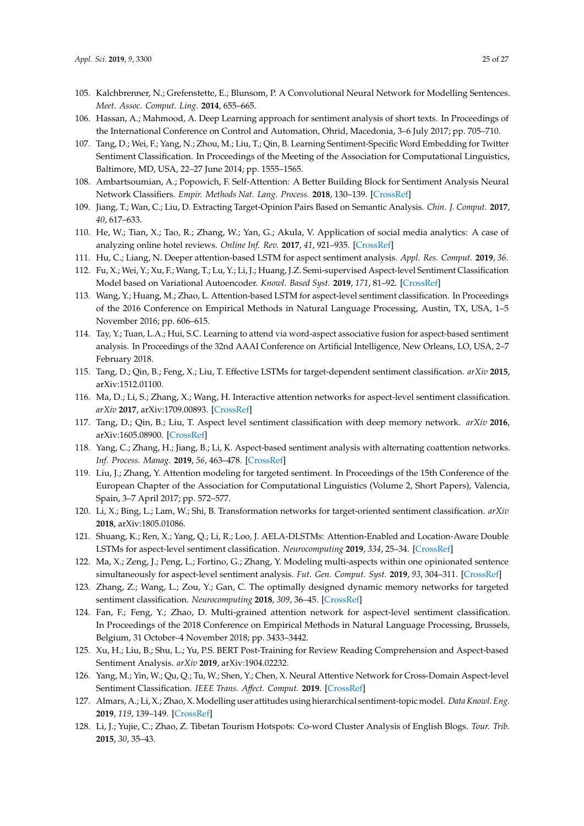- <span id="page-25-0"></span>105. Kalchbrenner, N.; Grefenstette, E.; Blunsom, P. A Convolutional Neural Network for Modelling Sentences. *Meet. Assoc. Comput. Ling.* **2014**, 655–665.
- <span id="page-25-1"></span>106. Hassan, A.; Mahmood, A. Deep Learning approach for sentiment analysis of short texts. In Proceedings of the International Conference on Control and Automation, Ohrid, Macedonia, 3–6 July 2017; pp. 705–710.
- <span id="page-25-2"></span>107. Tang, D.; Wei, F.; Yang, N.; Zhou, M.; Liu, T.; Qin, B. Learning Sentiment-Specific Word Embedding for Twitter Sentiment Classification. In Proceedings of the Meeting of the Association for Computational Linguistics, Baltimore, MD, USA, 22–27 June 2014; pp. 1555–1565.
- <span id="page-25-3"></span>108. Ambartsoumian, A.; Popowich, F. Self-Attention: A Better Building Block for Sentiment Analysis Neural Network Classifiers. *Empir. Methods Nat. Lang. Process.* **2018**, 130–139. [\[CrossRef\]](http://dx.doi.org/10.18653/v1/P17)
- <span id="page-25-4"></span>109. Jiang, T.; Wan, C.; Liu, D. Extracting Target-Opinion Pairs Based on Semantic Analysis. *Chin. J. Comput.* **2017**, *40*, 617–633.
- <span id="page-25-5"></span>110. He, W.; Tian, X.; Tao, R.; Zhang, W.; Yan, G.; Akula, V. Application of social media analytics: A case of analyzing online hotel reviews. *Online Inf. Rev.* **2017**, *41*, 921–935. [\[CrossRef\]](http://dx.doi.org/10.1108/OIR-07-2016-0201)
- <span id="page-25-6"></span>111. Hu, C.; Liang, N. Deeper attention-based LSTM for aspect sentiment analysis. *Appl. Res. Comput.* **2019**, *36*.
- <span id="page-25-7"></span>112. Fu, X.; Wei, Y.; Xu, F.; Wang, T.; Lu, Y.; Li, J.; Huang, J.Z. Semi-supervised Aspect-level Sentiment Classification Model based on Variational Autoencoder. *Knowl. Based Syst.* **2019**, *171*, 81–92. [\[CrossRef\]](http://dx.doi.org/10.1016/j.knosys.2019.02.008)
- <span id="page-25-8"></span>113. Wang, Y.; Huang, M.; Zhao, L. Attention-based LSTM for aspect-level sentiment classification. In Proceedings of the 2016 Conference on Empirical Methods in Natural Language Processing, Austin, TX, USA, 1–5 November 2016; pp. 606–615.
- <span id="page-25-9"></span>114. Tay, Y.; Tuan, L.A.; Hui, S.C. Learning to attend via word-aspect associative fusion for aspect-based sentiment analysis. In Proceedings of the 32nd AAAI Conference on Artificial Intelligence, New Orleans, LO, USA, 2–7 February 2018.
- <span id="page-25-10"></span>115. Tang, D.; Qin, B.; Feng, X.; Liu, T. Effective LSTMs for target-dependent sentiment classification. *arXiv* **2015**, arXiv:1512.01100.
- <span id="page-25-11"></span>116. Ma, D.; Li, S.; Zhang, X.; Wang, H. Interactive attention networks for aspect-level sentiment classification. *arXiv* **2017**, arXiv:1709.00893. [\[CrossRef\]](http://dx.doi.org/10.24963/ijcai.2017/568)
- <span id="page-25-12"></span>117. Tang, D.; Qin, B.; Liu, T. Aspect level sentiment classification with deep memory network. *arXiv* **2016**, arXiv:1605.08900. [\[CrossRef\]](http://dx.doi.org/10.18653/v1/d16-1021)
- <span id="page-25-13"></span>118. Yang, C.; Zhang, H.; Jiang, B.; Li, K. Aspect-based sentiment analysis with alternating coattention networks. *Inf. Process. Manag.* **2019**, *56*, 463–478. [\[CrossRef\]](http://dx.doi.org/10.1016/j.ipm.2018.12.004)
- <span id="page-25-14"></span>119. Liu, J.; Zhang, Y. Attention modeling for targeted sentiment. In Proceedings of the 15th Conference of the European Chapter of the Association for Computational Linguistics (Volume 2, Short Papers), Valencia, Spain, 3–7 April 2017; pp. 572–577.
- <span id="page-25-15"></span>120. Li, X.; Bing, L.; Lam, W.; Shi, B. Transformation networks for target-oriented sentiment classification. *arXiv* **2018**, arXiv:1805.01086.
- <span id="page-25-16"></span>121. Shuang, K.; Ren, X.; Yang, Q.; Li, R.; Loo, J. AELA-DLSTMs: Attention-Enabled and Location-Aware Double LSTMs for aspect-level sentiment classification. *Neurocomputing* **2019**, *334*, 25–34. [\[CrossRef\]](http://dx.doi.org/10.1016/j.neucom.2018.11.084)
- <span id="page-25-17"></span>122. Ma, X.; Zeng, J.; Peng, L.; Fortino, G.; Zhang, Y. Modeling multi-aspects within one opinionated sentence simultaneously for aspect-level sentiment analysis. *Fut. Gen. Comput. Syst.* **2019**, *93*, 304–311. [\[CrossRef\]](http://dx.doi.org/10.1016/j.future.2018.10.041)
- <span id="page-25-18"></span>123. Zhang, Z.; Wang, L.; Zou, Y.; Gan, C. The optimally designed dynamic memory networks for targeted sentiment classification. *Neurocomputing* **2018**, *309*, 36–45. [\[CrossRef\]](http://dx.doi.org/10.1016/j.neucom.2018.04.068)
- <span id="page-25-19"></span>124. Fan, F.; Feng, Y.; Zhao, D. Multi-grained attention network for aspect-level sentiment classification. In Proceedings of the 2018 Conference on Empirical Methods in Natural Language Processing, Brussels, Belgium, 31 October–4 November 2018; pp. 3433–3442.
- <span id="page-25-20"></span>125. Xu, H.; Liu, B.; Shu, L.; Yu, P.S. BERT Post-Training for Review Reading Comprehension and Aspect-based Sentiment Analysis. *arXiv* **2019**, arXiv:1904.02232.
- <span id="page-25-21"></span>126. Yang, M.; Yin, W.; Qu, Q.; Tu, W.; Shen, Y.; Chen, X. Neural Attentive Network for Cross-Domain Aspect-level Sentiment Classification. *IEEE Trans. A*ff*ect. Comput.* **2019**. [\[CrossRef\]](http://dx.doi.org/10.1109/TAFFC.2019.2897093)
- <span id="page-25-22"></span>127. Almars, A.; Li, X.; Zhao, X. Modelling user attitudes using hierarchical sentiment-topic model. *Data Knowl. Eng.* **2019**, *119*, 139–149. [\[CrossRef\]](http://dx.doi.org/10.1016/j.datak.2019.01.005)
- <span id="page-25-23"></span>128. Li, J.; Yujie, C.; Zhao, Z. Tibetan Tourism Hotspots: Co-word Cluster Analysis of English Blogs. *Tour. Trib.* **2015**, *30*, 35–43.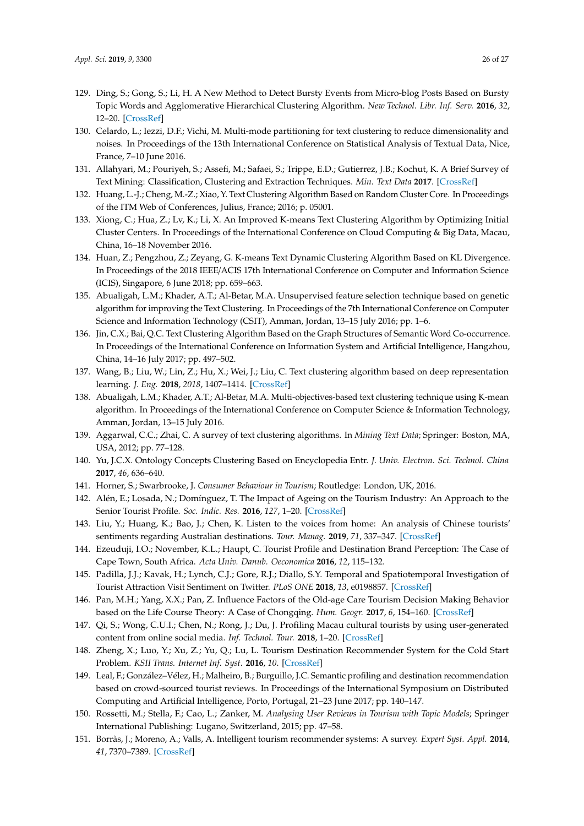- <span id="page-26-0"></span>129. Ding, S.; Gong, S.; Li, H. A New Method to Detect Bursty Events from Micro-blog Posts Based on Bursty Topic Words and Agglomerative Hierarchical Clustering Algorithm. *New Technol. Libr. Inf. Serv.* **2016**, *32*, 12–20. [\[CrossRef\]](http://dx.doi.org/10.11925/infotech.1003-3513)
- <span id="page-26-1"></span>130. Celardo, L.; Iezzi, D.F.; Vichi, M. Multi-mode partitioning for text clustering to reduce dimensionality and noises. In Proceedings of the 13th International Conference on Statistical Analysis of Textual Data, Nice, France, 7–10 June 2016.
- <span id="page-26-2"></span>131. Allahyari, M.; Pouriyeh, S.; Assefi, M.; Safaei, S.; Trippe, E.D.; Gutierrez, J.B.; Kochut, K. A Brief Survey of Text Mining: Classification, Clustering and Extraction Techniques. *Min. Text Data* **2017**. [\[CrossRef\]](http://dx.doi.org/10.1007/978-1-4614-3223-4_6)
- <span id="page-26-3"></span>132. Huang, L.-J.; Cheng, M.-Z.; Xiao, Y. Text Clustering Algorithm Based on Random Cluster Core. In Proceedings of the ITM Web of Conferences, Julius, France; 2016; p. 05001.
- <span id="page-26-4"></span>133. Xiong, C.; Hua, Z.; Lv, K.; Li, X. An Improved K-means Text Clustering Algorithm by Optimizing Initial Cluster Centers. In Proceedings of the International Conference on Cloud Computing & Big Data, Macau, China, 16–18 November 2016.
- <span id="page-26-5"></span>134. Huan, Z.; Pengzhou, Z.; Zeyang, G. K-means Text Dynamic Clustering Algorithm Based on KL Divergence. In Proceedings of the 2018 IEEE/ACIS 17th International Conference on Computer and Information Science (ICIS), Singapore, 6 June 2018; pp. 659–663.
- <span id="page-26-6"></span>135. Abualigah, L.M.; Khader, A.T.; Al-Betar, M.A. Unsupervised feature selection technique based on genetic algorithm for improving the Text Clustering. In Proceedings of the 7th International Conference on Computer Science and Information Technology (CSIT), Amman, Jordan, 13–15 July 2016; pp. 1–6.
- 136. Jin, C.X.; Bai, Q.C. Text Clustering Algorithm Based on the Graph Structures of Semantic Word Co-occurrence. In Proceedings of the International Conference on Information System and Artificial Intelligence, Hangzhou, China, 14–16 July 2017; pp. 497–502.
- <span id="page-26-7"></span>137. Wang, B.; Liu, W.; Lin, Z.; Hu, X.; Wei, J.; Liu, C. Text clustering algorithm based on deep representation learning. *J. Eng.* **2018**, *2018*, 1407–1414. [\[CrossRef\]](http://dx.doi.org/10.1049/joe.2018.8282)
- <span id="page-26-8"></span>138. Abualigah, L.M.; Khader, A.T.; Al-Betar, M.A. Multi-objectives-based text clustering technique using K-mean algorithm. In Proceedings of the International Conference on Computer Science & Information Technology, Amman, Jordan, 13–15 July 2016.
- <span id="page-26-9"></span>139. Aggarwal, C.C.; Zhai, C. A survey of text clustering algorithms. In *Mining Text Data*; Springer: Boston, MA, USA, 2012; pp. 77–128.
- <span id="page-26-10"></span>140. Yu, J.C.X. Ontology Concepts Clustering Based on Encyclopedia Entr. *J. Univ. Electron. Sci. Technol. China* **2017**, *46*, 636–640.
- <span id="page-26-11"></span>141. Horner, S.; Swarbrooke, J. *Consumer Behaviour in Tourism*; Routledge: London, UK, 2016.
- <span id="page-26-12"></span>142. Alén, E.; Losada, N.; Domínguez, T. The Impact of Ageing on the Tourism Industry: An Approach to the Senior Tourist Profile. *Soc. Indic. Res.* **2016**, *127*, 1–20. [\[CrossRef\]](http://dx.doi.org/10.1007/s11205-015-0966-x)
- <span id="page-26-13"></span>143. Liu, Y.; Huang, K.; Bao, J.; Chen, K. Listen to the voices from home: An analysis of Chinese tourists' sentiments regarding Australian destinations. *Tour. Manag.* **2019**, *71*, 337–347. [\[CrossRef\]](http://dx.doi.org/10.1016/j.tourman.2018.10.004)
- <span id="page-26-14"></span>144. Ezeuduji, I.O.; November, K.L.; Haupt, C. Tourist Profile and Destination Brand Perception: The Case of Cape Town, South Africa. *Acta Univ. Danub. Oeconomica* **2016**, *12*, 115–132.
- <span id="page-26-15"></span>145. Padilla, J.J.; Kavak, H.; Lynch, C.J.; Gore, R.J.; Diallo, S.Y. Temporal and Spatiotemporal Investigation of Tourist Attraction Visit Sentiment on Twitter. *PLoS ONE* **2018**, *13*, e0198857. [\[CrossRef\]](http://dx.doi.org/10.1371/journal.pone.0198857)
- <span id="page-26-16"></span>146. Pan, M.H.; Yang, X.X.; Pan, Z. Influence Factors of the Old-age Care Tourism Decision Making Behavior based on the Life Course Theory: A Case of Chongqing. *Hum. Geogr.* **2017**, *6*, 154–160. [\[CrossRef\]](http://dx.doi.org/10.13959/j.issn.1003-2389.2017.06.019)
- <span id="page-26-17"></span>147. Qi, S.; Wong, C.U.I.; Chen, N.; Rong, J.; Du, J. Profiling Macau cultural tourists by using user-generated content from online social media. *Inf. Technol. Tour.* **2018**, 1–20. [\[CrossRef\]](http://dx.doi.org/10.1007/s40558-018-0120-0)
- <span id="page-26-18"></span>148. Zheng, X.; Luo, Y.; Xu, Z.; Yu, Q.; Lu, L. Tourism Destination Recommender System for the Cold Start Problem. *KSII Trans. Internet Inf. Syst.* **2016**, *10*. [\[CrossRef\]](http://dx.doi.org/10.3837/tiis.2016.07.018)
- <span id="page-26-19"></span>149. Leal, F.; González–Vélez, H.; Malheiro, B.; Burguillo, J.C. Semantic profiling and destination recommendation based on crowd-sourced tourist reviews. In Proceedings of the International Symposium on Distributed Computing and Artificial Intelligence, Porto, Portugal, 21–23 June 2017; pp. 140–147.
- <span id="page-26-20"></span>150. Rossetti, M.; Stella, F.; Cao, L.; Zanker, M. *Analysing User Reviews in Tourism with Topic Models*; Springer International Publishing: Lugano, Switzerland, 2015; pp. 47–58.
- <span id="page-26-21"></span>151. Borràs, J.; Moreno, A.; Valls, A. Intelligent tourism recommender systems: A survey. *Expert Syst. Appl.* **2014**, *41*, 7370–7389. [\[CrossRef\]](http://dx.doi.org/10.1016/j.eswa.2014.06.007)